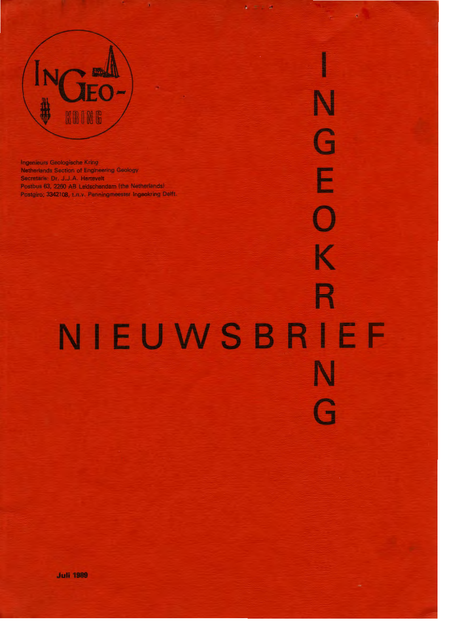

Ingenieurs Geologische Kring Netherlands Section of Engineering Geology Secretaris: Dr. J.J.A. Hartevelt Postbus 63, 2260 AB Leidschendam (the Netherlands) Postgiro; 3342108, En.v. Penningmeester Ingeokring Delft.

♦ K R NIEUWSBRIEF N Ê

G

E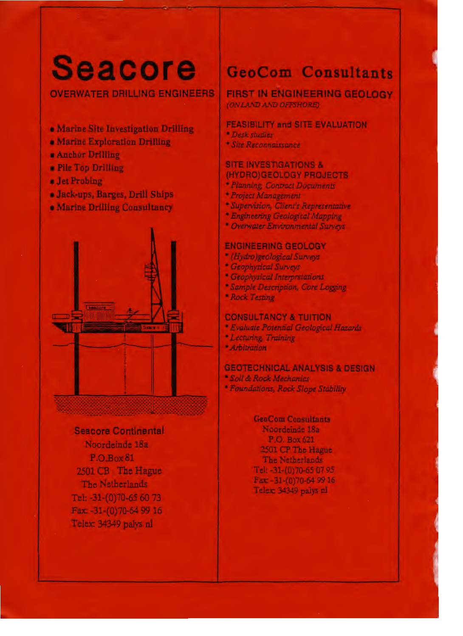# Seacore GeoCom Consultants

- Marine Site lnvestigation Drilling
- Marine Exploration Drilling
- Ancbor Drilling
- Pile Top Drilling
- **Jet** Probing
- Jack-ups, Barges, Drill Ships
- Marine Drilling Consultancy



## **Seacore Continental** Noordeinde 18a P.O.Box 81 2501 CB The Hague The Netherlands Tel: -31-(0)70-65 60 73 Fax: -31-(0)70-64 99 16 Telex: 34349 palys nl

OVERWATER DRILLING ENGINEERS | FIRST IN ENGINEERING GEOLOGY *(ON LAND* MD *OFFSHORE)* 

## **FEASIBILITY and SITE EVALUATION**

- *Desk studies*
- *Site Reconnaissance*

## **SITE INVESTIGATIONS** & **(HYDRO)GEOLOGY PROJECT\$**

- *Planning, Conrract Documents*
- *Project Management*
- *Supervi.sion, Oient1 s Representative*
- *Engineering Geological Mapping*
- *Overwater Environmental Surveys*

## **ENGINEERING GEOLOGY**

- *(Hydro)geological Surveys*
- *Geophysical Surveys*
- *Geophysical lnterpretations*
- *Sample Description, Core Logging*
- *Rock T esting*

## **CONSULTANCY** & TUITION

- *Evaluate Potential Geologica/ Hazards*
- *Lecturing, Training*
- *Aroitration*

## **GEOTECHNICAL ANALYSIS** & **DESIGN**

- *Soil* & *Rock Mechanics*
- *Foundations, Rock Slope Stability*

## GeoCom Consultants

Noordeinde 18a P.O. Box621 2501 CP The Hague The Netherlands Tel: -31-(0)70-65 07 95 Fax: -31-(0)70-64 99 16 Telex: 34349 palys nl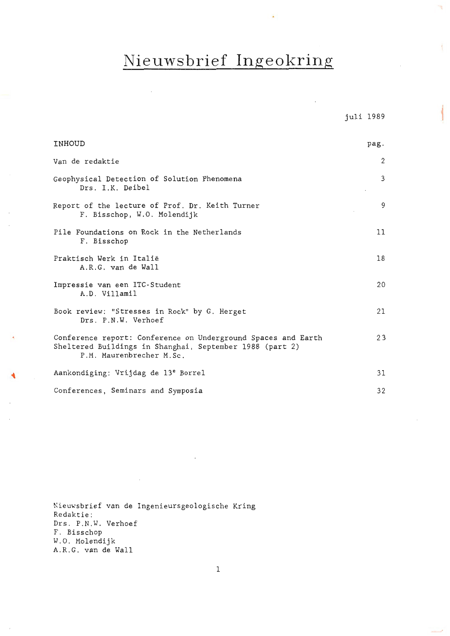## **Nieuwsbrief Ingeokring**

 $\overline{\phantom{a}}$ 

1

J.

y.

| INHOUD                                                                                                                                                | pag. |
|-------------------------------------------------------------------------------------------------------------------------------------------------------|------|
| Van de redaktie                                                                                                                                       | 2    |
| Geophysical Detection of Solution Phenomena<br>Drs. I.K. Deibel                                                                                       | 3    |
| Report of the lecture of Prof. Dr. Keith Turner<br>F. Bisschop, W.O. Molendijk                                                                        | 9    |
| Pile Foundations on Rock in the Netherlands<br>F. Bisschop                                                                                            | 11   |
| Praktisch Werk in Italië<br>A.R.G. van de Wall                                                                                                        | 18   |
| Impressie van een ITC-Student<br>A.D. Villamil                                                                                                        | 20   |
| Book review: "Stresses in Rock" by G. Herget<br>Drs. P.N.W. Verhoef                                                                                   | 21   |
| Conference report: Conference on Underground Spaces and Earth<br>Sheltered Buildings in Shanghai, September 1988 (part 2)<br>P.M. Maurenbrecher M.Sc. | 23   |
| Aankondiging: Vrijdag de 13 <sup>e</sup> Borrel                                                                                                       | 31   |
| Conferences, Seminars and Symposia                                                                                                                    | 32   |

Nieuwsbrief van de Ingenieursgeologische Kring Redaktie : Drs. P.N.W. Verhoef F . Bisschop W. O. Molendijk A.R.G . van de Wall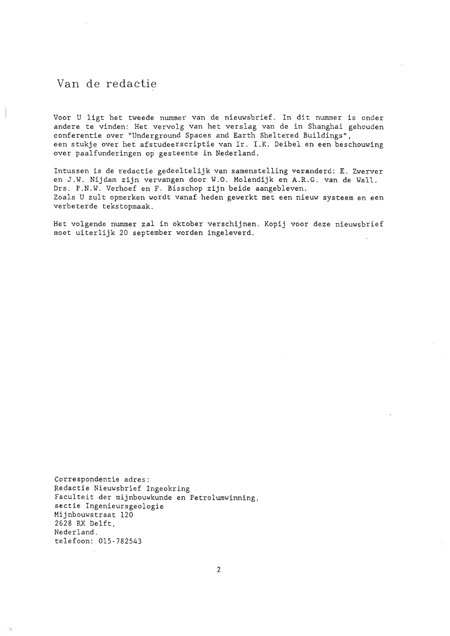## Van de redactie

Voor U ligt het tweede nummer van de nieuwsbrief. In dit nummer is onder andere te vinden: Het vervolg van het verslag van de in Shanghai gehouden conferentie over "Underground Spaces and Earth Sheltered Buildings", een stukje over het afstudeerscriptie van Ir. I .K. Deibel en een beschouwing over paalfunderingen op gesteente in Nederland .

Intussen is de redactie gedeeltelijk van samenstelling veranderd: E. Zwerver en J.W. Nijdam zijn vervangen door W.O. Molendijk en A.R.G. van de Wall. Drs. P.N.W. Verhoef en F. Bisschop zijn beide aangebleven . Zoals U zult opmerken wordt vanaf heden gewerkt met een nieuw systeem en een verbeterde tekstopmaak .

Het volgende nummer zal in oktober verschijnen. Kopij voor deze nieuwsbrief moet uiterlijk 20 september worden ingeleverd.

Correspondentie adres: Redactie Nieuwsbrief Ingeokring Faculteit der mijnbouwkunde en Petrolumwinning, sectie Ingenicursgeologie Mijnbouwstraat 120 2628 RX Delft, Nederland. telefoon: 015 - 782543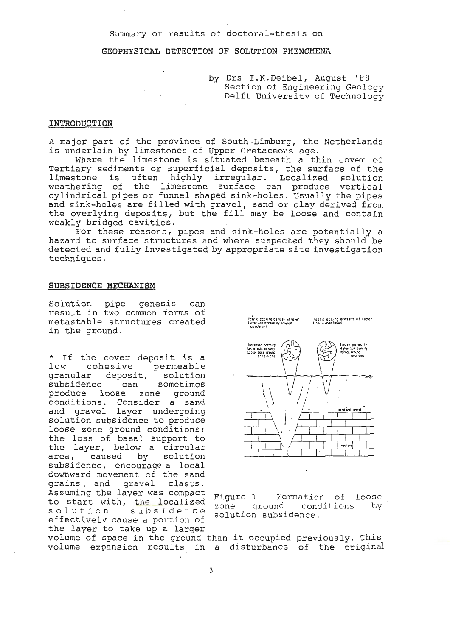## Summary of results of doctoral-thesis on

## GEOPHYSICAL DETECTION OF SOLUTION PHENOMENA

by Drs I.K.Deibel, August '88 Section of Engineering Geology Delft University of Technology

## INTRODUCTION

A major part of the province of South-Limburg, the Netherlands is underlain by limestones of Upper Cretaceous age.

Where the limestone is situated beneath a thin cover of Tertiary sediments or superficial deposits, the surface of the limestone is often highly irregular. Localized solution<br>weathering of the limestone surface can produce vertical<br>cylindrical pipes or funnel shaped sink-holes. Usually the pipes and sink-holes are filled with gravel, sand or clay derived from the overlying deposits, but the fill may be loose and contain weakly bridged cavities.

For these reasons, pipes and sink-holes are potentially a hazard to surface structures and where suspected they should be detected and fully investigated by appropriate site investigation techniques.

## SUBSIDENCE MECHANISM

Solution pipe genesis can result in two common forms of metastable structures created in the ground.

\* If the cover deposit is a low cohesive permeable granular deposit, solution subsidence can sometimes produce loose zone ground conditions. Consider a sand<br>and gravel layer undergoing solution subsidence to produce loose zone ground conditions; the loss of basal support to the layer, below a circular area, caused by solution subsidence, encourage a local downward movement of the sand grains, and gravel clasts. Assuming the layer was compact to start with, the localized solution subsidence effectively cause a portion of the layer to take up a larger



Figure 1 Formation of loose zone ground conditions by solution subsidence.

volume of space in the ground than it occupied previously. This volume expansion results in a disturbance of the original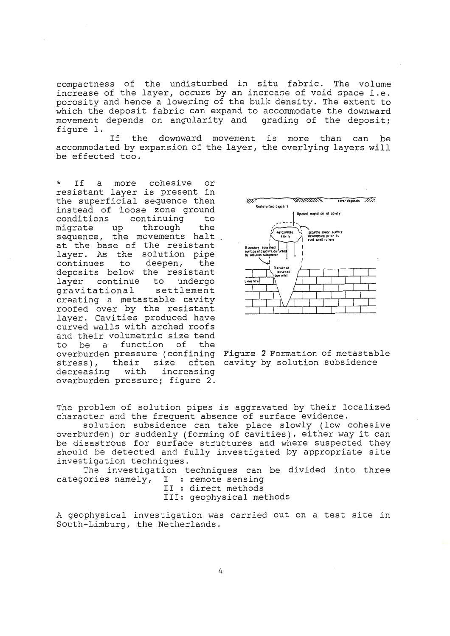compactness of the undisturbed in situ fabric. The volume increase of the layer, occurs by an increase of void space i.e. porosity and hence a lowering of the bulk density. The extent to which the deposit fabric can expand to accommodate the downward movement depends on angularity and grading of the deposit; figure 1.

the downward movement is more than can be If accommodated by expansion of the layer, the overlying layers will be effected too.

more or If cohesive  $\mathsf{a}$ resistant layer is present in the superficial sequence then instead of loose zone ground conditions continuing to through migrate up the sequence, the movements halt at the base of the resistant layer. As the solution pipe continues to deepen, the deposits below the resistant continue to undergo laver settlement gravitational creating a metastable cavity roofed over by the resistant<br>layer. Cavities produced have curved walls with arched roofs and their volumetric size tend a function of the to be overburden pressure (confining Figure 2 Formation of metastable stress), their size often cavity by solution subsidence decreasing with increasing overburden pressure; figure 2.



The problem of solution pipes is aggravated by their localized character and the frequent absence of surface evidence.

solution subsidence can take place slowly (low cohesive overburden) or suddenly (forming of cavities), either way it can be disastrous for surface structures and where suspected they should be detected and fully investigated by appropriate site investigation techniques.

The investigation techniques can be divided into three categories namely, I : remote sensing II : direct methods

III: geophysical methods

A geophysical investigation was carried out on a test site in South-Limburg, the Netherlands.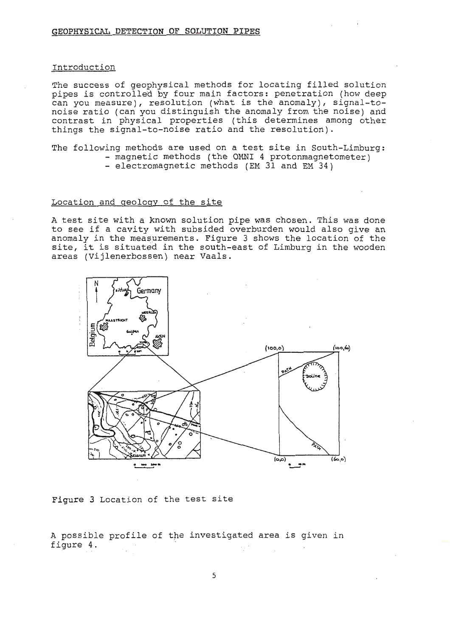## Introduction

The success of geophysical methods for locating filled solution pipes is controlled by four main factors: penetration (how deep can you measure), resolution (what is the anomaly), signal-tonoise ratio (can you distinguish the anomaly from the noise) and contrast in physical properties (this determines among other things the signal-to-noise ratio and the resolution).

The following methods are used on a test site in South-Limburg: - magnetic methods (the OMNI 4 protonmagnetometer)

- electromagnetic methods (EM 31 and EM 34)

## Location and geology of the site

A test site with a known solution pipe was chosen. This was done to see if a cavity with subsided overburden would also give an anomaly in the measurements. Figure 3 shows the location of the site, it is situated in the south-east of Limburg in the wooden areas (Vijlenerbossen) near Vaals.



Figure 3 Location of the test site

A possible profile of the investigated area is given in figure 4.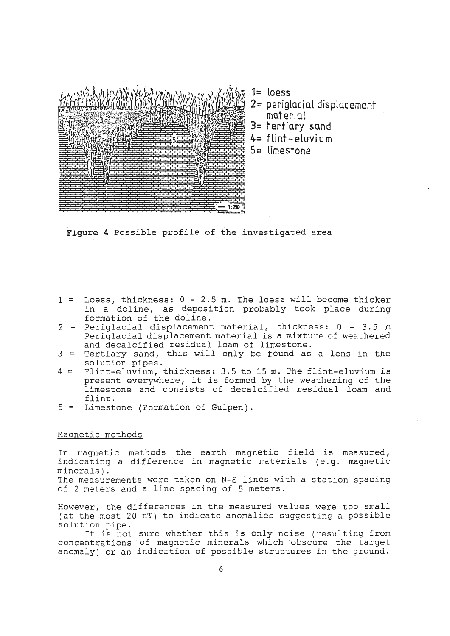

**1= loe~s** 

- **2,-= periglacial displac ement mate rial**
- **3= tertiary sand**
- **4= flint-eluvium**
- **5 = limestone**

**Figure 4** Possible profile of the investigated area

- <sup>1</sup>= Loess, thickness: 0 2.5 m. The loess will become thicker in a doline, as deposition probably took place during formation of the doline.
- $2$  = Periglacial displacement material, thickness:  $0 3.5$  m Periglacial displacement material is a mixture of weathered and decalcified residual loam of limestone.
- $3$  = Tertiary sand, this will only be found as a lens in the solution pipes.
- <sup>4</sup>= Flint-eluvium, thickness: 3.5 to 15 m. The flint-eluvium is present everywhere, it is formed by the weathering of the limestone and consists of decalcified residual loam and flint.
- 5 = Limestone (Formation of Gulpen).

## Magnetic methods

In magnetic methods the earth magnetic field is measured, indicating a difference in magnetic materials (e.g. magnetic minerals) . The measurements were taken on N-S lines with a station spacing of 2 meters and a line spacing of 5 meters.

However, the differences in the measured values were too small (at the most 20 nT) to indicate anomalies suggesting a possible solution pipe.

It is not sure whether this is only noise (resulting from concentrations of magnetic minerals which obscure the target anomaly) or an indication of possible structures in the ground.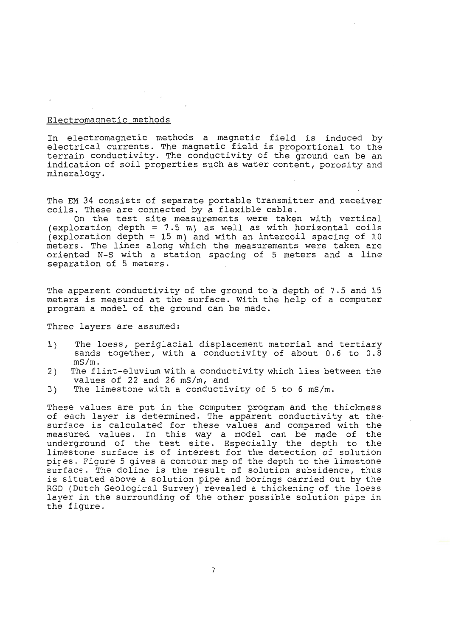## Electromagnetic methods

In electromagnetic methods a magnetic field is induced by electrical currents. The magnetic field is proportional to the terrain conductivity. The conductivity of the ground can be an indication of soil properties such as water content, porosity and mineralogy.

The EM 34 consists of separate portable transmitter and receiver coils. These are connected by a flexible cable.

On the test site measurements were taken with vertical  $(exploration depth = 7.5 m)$  as well as with horizontal coils  $\text{e}$  exploration depth = 15 m) and with an intercoil spacing of 10 meters. The lines along which the measurements were taken are oriented N-S with a station spacing of 5 meters and a line separation of 5 meters.

The apparent conductivity of the ground to a depth of 7.5 and 15 meters is measured at the surface. With the help of a computer program a model of the ground can be made.

Three layers are assumed:

- 1) The loess, periglacial displacement material and tertiary sands together, with a conductivity of about 0.6 to 0.8 mS/m.
- 2) The flint-eluvium with a conductivity which lies between the values of 22 and 26 mS/m, and
- 3) The limestone with a conductivity of 5 to 6 mS/m.

These values are put in the computer program and the thickness of each layer is determined. The apparent conductivity at the surface is calculated for these values and compared with the measured values. In this way a model can be made of the underground of the test site. Especially the depth to the limestone surface is of interest for the detection of solution pires. Figure 5 gives a contour map of the depth to the limestone surface. The doline is the result of solution subsidence, thus is situated above a solution pipe and borings carried out by the RGD (Dutch Geological Survey) revealed a thickening of the loess layer in the surrounding of the other possible solution pipe in the figure.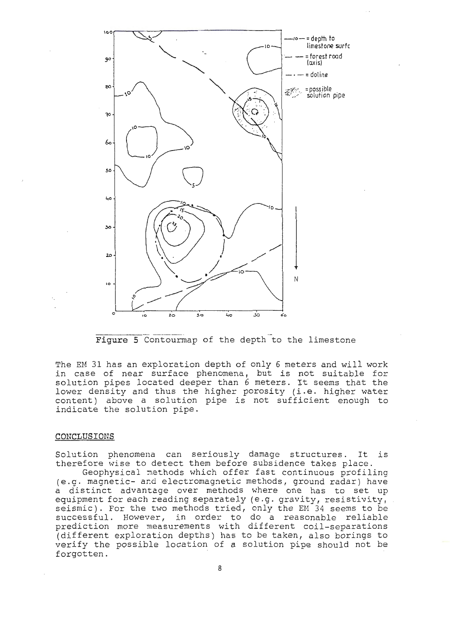

The EM 31 has an exploration depth of only 6 meters and will work in case of near surface phenomena, but is not suitable for solution pipes located deeper than 6 meters. It seems that the lower density and thus the higher porosity (i.e. higher water content) above a solution pipe is not sufficient enough to indicate the solution pipe.

## **CONCLUSIONS**

Solution phenomena can seriously damage structures. It is therefore wise to detect them before subsidence takes place.

Geophysical methods which offer fast continuous profiling (e.g. magnetic- and electromagnetic methods, ground radar) have a distinct advantage over methods where one has to set up equipment for each reading separately (e.g. gravity, resistivity, seismic). For the two methods tried, only the EM 34 seems to be successful. However, in order to do a reasonable reliable prediction more rneasurements with different coil-separations (different exploration depths) has to be taken, also borings to verify the possible location of a solution pipe should not be forgotten.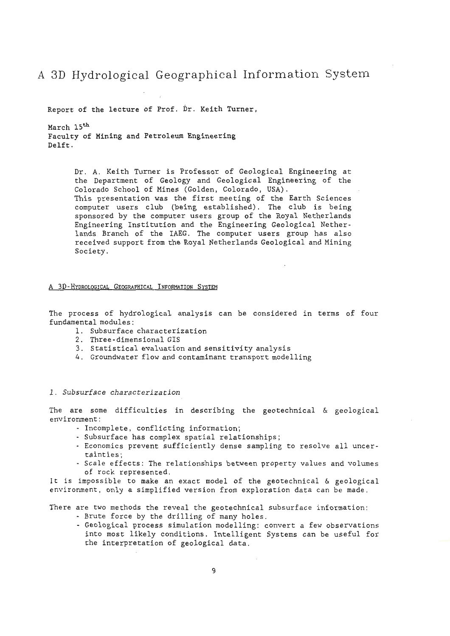## A 3D Hydrological Geographical Information Systern

Report of the lecture of Prof. Dr. Keith Turner,

March 15<sup>th</sup> Faculty of Mining and Petroleum Engineering Delft .

> Dr. A. Keith Turner is Professor of Geological Engineering at the Department of Geology and Geological Engineering of the Colorado School of Mines (Golden, Colorado, USA). This presentation was the first meeting of the Earth Sciences computer users club (being established). The club is being sponsored by the computer users group of the Royal Netherlands Engineering Institution and the Engineering Geological Nether lands Branch of the IAEG. The computer users group has also received support from the Royal Netherlands Geological and Mining Society.

## A 3D-HYDROLOGICAL GEOGRAPHICAL INFORMATION SYSTEM

The process of hydrological analysis can be considered in terms of four fundamental modules :

- 1. Subsurface characterization
- 2. Three-dimensional GIS
- 3. Statistical evaluation and sensitivity analysis
- 4. Groundwater flow and contaminant transport modelling

## *l . Subsurface characterization*

The are some difficulties in describing the geotechnical & geological environment :

- Incomplete, conflicting information;
- Subsurface has complex spatial relationships ;
- Economics prevent sufficiently dense sampling to resolve all uncer tainties;
- Scale effects : The relationships between property values and volumes of rock represented .

It is impossible to make an exact model of the geotechnical & geological environment, only a simplified version from exploration data can be made.

There are two methods the reveal the geotechnical subsurface information:

- Brute force by the drilling of many holes .
- Geological process simulation modelling: convert a few observations into most likely conditions. Intelligent Systems can be useful for the interpretation of geological data.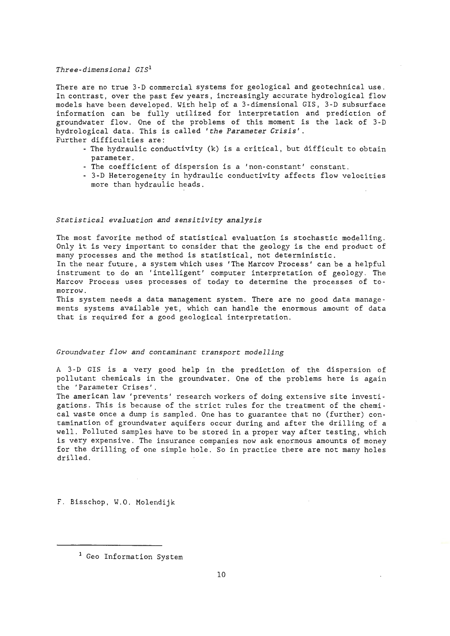## *Three-dimensional GIS <sup>1</sup>*

There are no true 3-D commercial systems for geological and geotechnical use. In contrast, over the past few years, increasingly accurate hydrological flow models have been developed. With help of a 3-dimensional GIS, 3-D subsurface information can be fully utilized for interpretation and prediction of groundwater flow. One of the problems of this moment is the lack of 3-D hydrological data . This is called *'the Parameter Crisis'.*  Further difficulties are:

- The hydraulic conductivity (k) is a critical, but difficult to obtain parameter.
- The coefficient of dispersion is a 'non-constant' constant.
- 3-D Heterogeneity in hydraulic conductivity affects flow velocities more than hydraulic heads.

#### *Statistical evaluation and sensitivity analysis*

The most favorite method of statistical evaluation is stochastic modelling. Only it is very important to consider that the geology is the end product of many processes and the method is statistical, not deterministic.

In the near future, a system which uses 'The Marcov Process' can be a helpful instrument to do an 'intelligent' computer interpretation of geology. The Marcov Process uses processes of today to determine the processes of tomorrow.

This system needs a data management system. There are no good data managements systems available yet, which can handle the enormous amount of data that is required for a good geological interpretation.

#### *Groundwater flow and contaminant transport modelling*

A 3-D GIS is a very good help in the prediction of the dispersion of pollutant chemicals in the groundwater. One of the problems here is again the 'Parameter Crises' .

The american law 'prevents' research workers of doing extensive site investigations. This is because of the strict rules for the treatment of the chemical waste once a dump is sampled. One has to guarantee that no (further) contamination of groundwater aquifers occur during and after the drilling of a well. Polluted samples have to be stored in a proper way after testing, which is very expensive. The insurance companies now ask enormous amounts of money for the drilling of one simple hole. So in practice there are not many holes drilled.

F. Bisschop, W.O. Molendijk

<sup>&</sup>lt;sup>1</sup> Geo Information System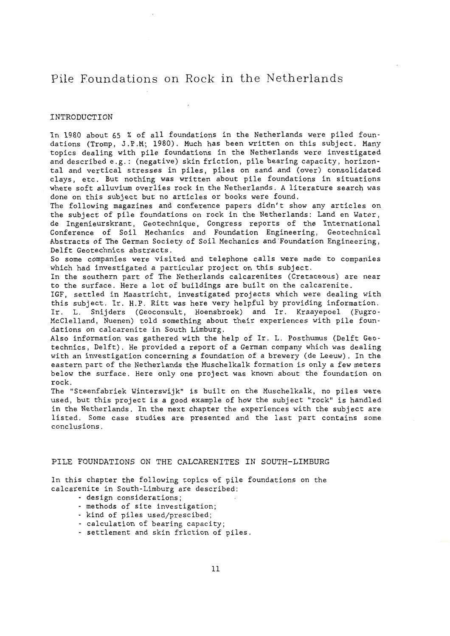## Pile Foundations on Rock in the Netherlands

## INTRODUCTION

In 1980 about 65 % of all foundations in the Netherlands were piled foundations (Tromp, J.P.M; 1980). Much has been written on this subject. Many topics dealing with pile foundations in the Netherlands were investigated and described e.g.: (negative) skin friction, pile hearing capacity, horizontal and vertical stresses in piles, piles on sand and (over) consolidated clays, etc. But nothing was written about pile foundations in situations where soft alluvium overlies rock in the Netherlands. A literature search was done on this subject but no articles or hooks were found.

The following magazines and conference papers didn't show any articles on the subject of pile foundations on rock in the Netherlands: Land en Water, de Ingenieurskrant, Geotechnique, Congress reports of the International Conference of Soil Mechanics and Foundation Engineering, Geotechnical Abstracts of The German Society of Soil Mechanics and Foundation Engineering, Delft Geotechnics abstracts .

So some companies were visited and telephone calls were made to companies which had investigated a particular project on this subject.

In the southern part of The Netherlands calcarenites (Cretaceous) are near to the surface. Here *a* lot of buildings are built on the calcarenite.

IGF, settled in Maastricht, investigated projects which were dealing with this subject. Ir. H.P. Ritt was here very helpful by providing information. Ir. L. Snijders (Geoconsult, Hoensbroek) and Ir. Kraayepoel (Fugro-McClelland, Nuenen) told something about their experiences with pile foundations on calcarenite in South Limburg.

Also information was gathered with the help of Ir. L. Posthumus (Delft Geotechnics, Delft). He provided a report of a German company which was dealing with an investigation concerning a foundation of a brewery (de Leeuw) . In the eastern part of the Netherlands the Muschelkalk formation is only a few meters below the surface. Here only one project was known about the foundation on rock .

The "Steenfabriek Winterswijk" is built on the Muschelkalk, no piles were used, but this project is a good example of how the subject "rock" is handled in the Netherlands. In the next chapter the experiences with the subject are listed. Some case studies are presented and the last part contains some conclusions.

## PILE FOUNDATIONS ON THE CALCARENITES IN SOUTH-LIMBURG

In this chapter the following topics of pile foundations on the calcarenite in South-Limburg are described:

- design considerations;
- methods of site investigation;
- kind of piles used/prescibed ;
- calculation of hearing capacity;
- settlement and skin friction of piles .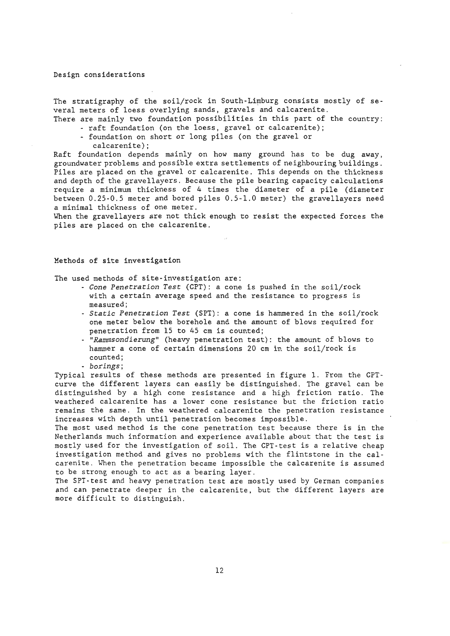#### Design considerations

The stratigraphy of the soil/rock in South-Limburg consists mostly of several meters of loess overlying sands , gravels and calcarenite . There are mainly two foundation possibilities in this part of the country:

- raft foundation (on the loess, gravel or calcarenite);
	- foundation on short or long piles (on the gravel or

calcarenite);

Raft foundation depends mainly on how many ground has to be dug away, groundwater problems and possible extra settlements of neighbouring buildings . Piles are placed on the gravel or calcarenite . This depends on the thickness and depth of the gravellayers . Because the pile hearing capacity calculations require a minimum thickness of 4 times the diameter of a pile (diameter between 0 . 25-0.5 meter and bored piles 0.5 - 1.0 meter) the gravellayers need a minimal thickness of one meter.

When the gravellayers are not thick enough to resist the expected forces the piles are placed on the calcarenite.

## Methods of site investigation

The used methods of site-investigation are:

- *Cone Penetration Test* (CPT): a cone is pushed in the soil/rock with a certain average speed and the resistance to progress is measured;
- *Statie Penetration Test* (SPT): a cone is hammered in the soil/rock one meter below the borehole and the amount of blows required for penetration from 15 to 45 cm is counted;
- *"Rammsondierung"* (heavy penetration test): the amount of blows to hammer a cone of certain dimensions 20 cm in the soil/rock is counted;
- *borings;*

Typical results of these methods are presented in figure 1. From the CPTcurve the different layers can easily be distinguished. The gravel can be distinguished by a high cone resistance and a high friction ratio. The weathered calcarenite bas a lower cone resistance but the friction ratio remains the same. In the weathered calcarenite the penetration resistance increases with depth until penetration becomes impossible.

The most used method is the cone penetration test because there is in the Netherlands much information and experience available about that the test is mostly used for the investigation of soil. The CPT-test is a relative cheap investigation method and gives no problems with the flintstone in the calcarenite. When the penetration became impossible the calcarenite is assumed to be strong enough to act as a hearing layer.

The SPI-test and heavy penetration test are mostly used by German companies and can penetrate deeper in the calcarenite, but the different layers are more difficult to distinguish .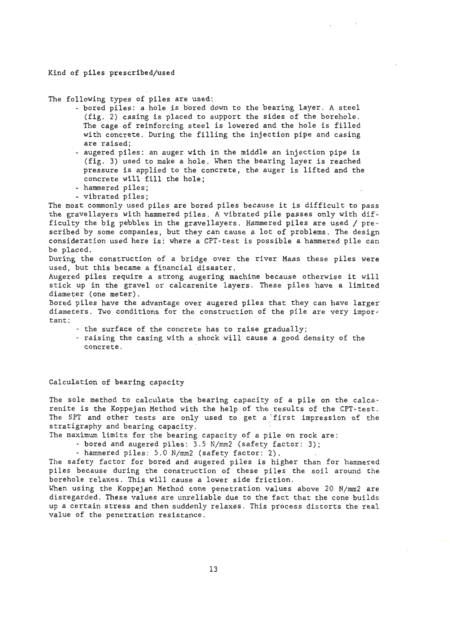## Kind of piles prescribed/used

The following types of piles are used:

- bored piles: a hole is b'ored down to the hearing layer . A steel (fig. 2) casing is placed to support the sides of the borehole. The cage of reinforcing steel is lowered and the hole is filled with concrete. During the filling the injection pipe and casing are raised;
- augered piles: an auger with in the middle an injection pipe is (fig. 3) used to make a hole. When the hearing layer is reached pressure is applied to the concrete, the auger is lifted and the concrete will fill the hole;
- hammered piles;
- vibrated piles;

The most commonly used piles are bored piles because it is difficult to pass the gravellayers with hammered piles. A vibrated pile passes only with difficulty the big pebbles in the gravellayers . Hammered piles are used / pre scribed by some companies, but they can cause a lot of problems. The design consideration used here is: where a CPT-test is possible a hammered pile can be placed.

During the construction of a bridge over the river Maas these piles were used, but this became a financial disaster.

Augered piles require a strong augering machine because otherwise it will stick up in the gravel or calcarenite layers. These piles have a limited diameter (one meter).

Bored piles have the advantage over augered piles that they can have larger diameters. Two conditions for the construction of the pile are very important:

- the surface of the concrete has to raise gradually;
- raising the casing with a shock will cause a good density of the concrete.

Calculation of hearing capacity

The sole method to calculate the bearing capacity of a pile on the calcarenite is the Koppejan Method with the help of the results of the CPT-test . The SPT and other tests are only used to get a first impression of the stratigraphy and bearing capacity.

The maximum limits for the bearing capacity of a pile on rock are:

- bored and augered piles: 3.5 N/mm2 (safety factor: 3);

- hammered piles: 5.0 N/mm2 (safety factor: 2) .

The safety factor for bored and augered piles is higher than for hammered piles because during the construction of these piles the soil around the borehole relaxes. This will cause a lower side friction.

~1hen using the Koppejan Method cone penetration values above 20 N/mm2 are disregarded. These values are unreliable due to the fact that the cone builds up a certain stress and then suddenly relaxes. This process distorts the real value of the penetration resistance .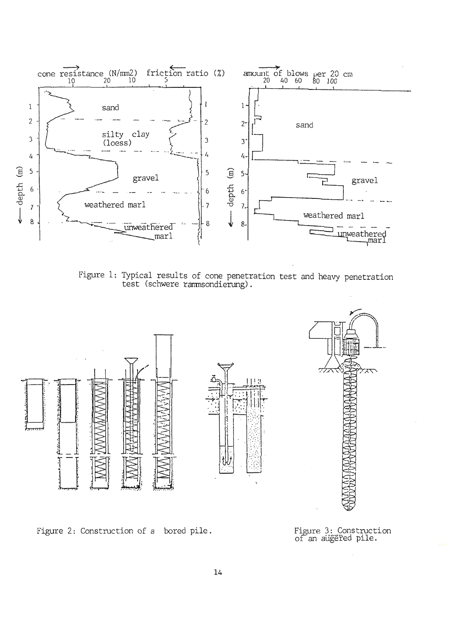

Figure 1: Typical results of cone penetration test and heavy penetration test (schwere rammsondierung).



Figure 2: Construction of a bored pile.

Figure 3: Construction<br>of an aügered pile.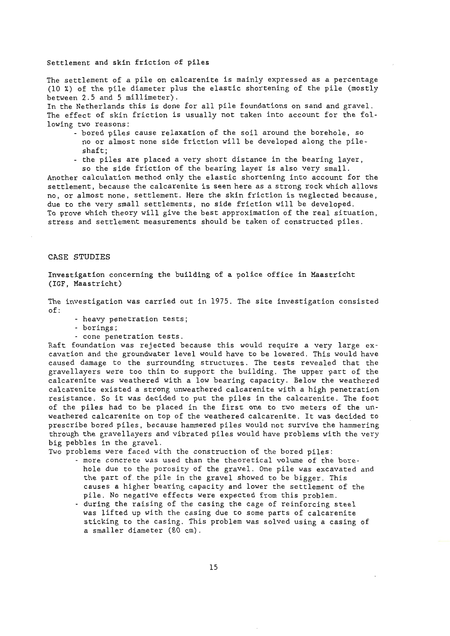## Settlement and skin friction of piles

The settlement of a pile on calcarenite is mainly expressed as a percentage (10 %) of the pile diameter plus the elastic shortening of the pile (mostly between 2.5 and 5 millimeter).

In the Netherlands this is done for all pile foundations on sand and gravel. The effect of skin friction is usually not taken into account for the following two reasons:

- bored piles cause relaxation of the soil around the borehole, so no or almost none side friction will be developed along the pileshaft;
- the piles are placed a very short distance in the hearing layer, so the side friction of the hearing layer is also very small.

Another calculation method only the elastic shortening into account for the settlement, because the calcarenite is seen here as a strong rock which allows no, or almost none, settlement. Here the skin friction is neglected because, due to the very small settlements, no side friction will be developed. To prove which theory will give the best approximation of the real situation, stress and settlement measurements should be taken of constructed piles .

## CASE STUDIES

Investigation concerning the building of a police office in Maastricht (IGF, Maastricht)

The investigation was carried out in 1975 . The site investigation consisted of:

- heavy penetration tests;
- borings;
- cone penetration tests.

Raft foundation was rejected because this would require a very large excavation and the groundwater level would have to be lowered. This would have caused damage to the surrounding structures. The tests revealed that the gravellayers were too thin to support the building. The upper part of the calcarenite was weathered with a low hearing capacity. Below the weathered calcarenite existed a streng unweathered calcarenite with a high penetration resistance. So it was decided to put the piles in the calcarenite. The foot of the piles had to be placed in the first one to two meters of the unweathered calcarenite on top of the weathered calcarenite. It was decided to prescribe bored piles, because hammered piles would not survive the hammering through the gravellayers and vibrated piles would have problems with the very big pebbles in the gravel.

Two problems were faced with the construction of the bored piles:

- more concrete was used than the theoretical volume of the berehole due to the porosity of the gravel. One pile was excavated and the part of the pile in the gravel showed to be bigger. This causes a higher hearing capacity and lower the settlement of the pile. No negative effects were expected from this problem.
- during the raising of the casing the cage of reinforcing steel was lifted up with the casing due to some parts of calcarenite sticking to the casing. This problem was solved using a casing of a smaller diameter (80 cm).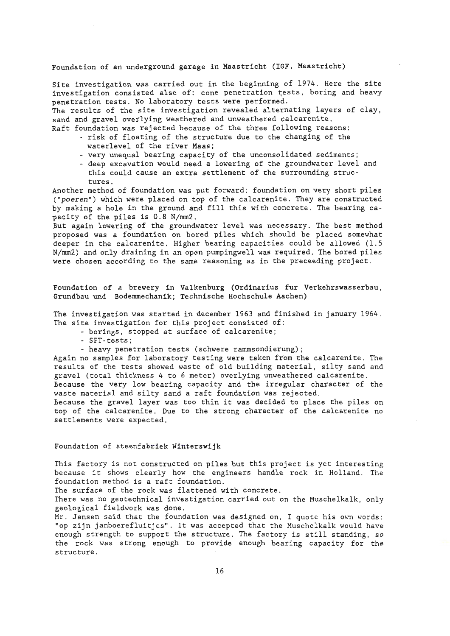## Foundation of an underground garage in Maastricht (IGF, Maastricht)

Site investigation was carried out in the beginning of 1974. Here the site investigation consisted also of: cone penetration tests, boring and heavy penetration tests. No laboratory tests were performed.

The results of the site investigation revealed alternating layers of clay, sand and gravel overlying weathered and unweathered calcarenite.

Raft foundation was rejected because of the three following reasons:

- risk of floating of the structure due to the changing of the waterlevel of the river Maas;
- very unequal hearing capacity of the unconsolidated sediments;
- deep excavation would need a lowering of the groundwater level and this could cause an extra settlement of the surrounding structures .

Another method of foundation was put forward: foundation on very short piles ("poeren") which were placed on top of the calcarenite. They are constructed by making a hole in the ground and fill this with concrete. The bearing capacity of the piles is 0.8 N/mm2.

But again lowering of the groundwater level was necessary. The best method proposed was a foundation on bored piles which should be placed somewhat deeper in the calcarenite. Higher hearing capacities could be allowed (1.5 N/mm2) and only draining in an open pumpingwell was required. The bored piles were chosen according to the same reasoning as in the preceeding project.

Foundation of a brewery in Valkenburg (Ordinarius fur Verkehrswasserbau, Grundbau und Bodemmechanik; Technische Hochschule Aachen)

The investigation was started in december 1963 and finished in january 1964. The site investigation for this project consisted of:

- borings, stopped at surface of calcarenite;

- SPT-tests;
- heavy penetration tests (schwere rammsondierung);

Again no samples for laboratory testing were taken from the calcarenite. The results of the tests showed waste of old building material, silty sand and gravel (total thickness 4 to 6 meter) overlying unweathered calcarenite.

Because the very low hearing capacity and the irregular character of the waste material and silty sand a raft foundation was rejected.

Because the gravel layer was too thin it was decided to place the piles on top of the calcarenite. Due to the strong character of the calcarenite no settlements were expected.

## Foundation of steenfabriek **Winterswijk**

This factory is not constructed on piles but this project is yet interesting because it shows clearly how the engineers handle rock in Holland. The foundation method is a raft foundation.

The surface of the rock was flattened with concrete.

There was no geotechnical investigation carried out on the Muschelkalk, only geological fieldwork was done.

 $\stackrel{\sim}{\tt{Mr}}$  . Jansen said that the foundation was designed on, I quote his own words: "op zijn janboerefluitjes". It was accepted that the Muschelkalk would have enough strength to support the structure. The factory is still standing, so the rock was strong enough to provide enough hearing capacity for the structure.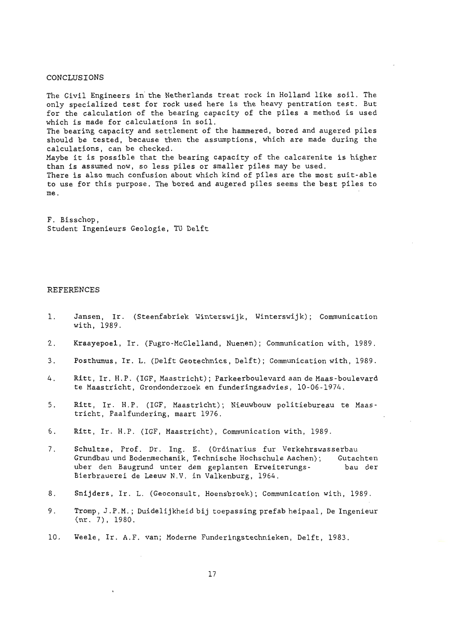## CONCLUSIONS

The Civil Engineers in the Netherlands treat rock in Holland like soil. The only specialized test for rock used here is the heavy pentration test. But for the calculation of the hearing capacity of the piles a method is used which is made for calculations in soil. The bearing capacity and settlement of the hammered, bored and augered piles should be tested, because then the assumptions, which are made during the calculations, can be checked. Maybe it is possible that the hearing capacity of the calcarenite is higher than is assumed now, so less piles or smaller piles may be used . There is also much confusion about which kind of piles are the most suit- able to use for this purpose. The bored and augered piles seems the best piles to me .

F. Bisschop, Student Ingenieurs Geologie, TU Delft

#### REFERENCES

- 1. **Jansen ,** Ir. (Steenfabriek Winterswijk , Winterswijk); Communication with, 1989.
- 2. Kraayepoel, Ir. (Fugro-McClelland, Nuenen); Communication with, 1989.
- 3. Posthumus , Ir. L. (Delft Geotechnics, Delft); Communication with, 1989.
- 4. Ritt, Ir. H.P. (IGF, Maastricht); Parkeerboulevard aan de Maas-boulevard te Maastricht, Grondonderzoek en funderingsadvies, 10-06 - 1974 .
- 5 . Ritt, Ir. H.P. (IGF, Maastricht) ; Nieuwbouw politiebureau te Maastricht, Paalfundering, maart 1976.
- 6. Ritt, Ir. H.P. (IGF, Maastricht), Communication with, 1989.
- 7. Schultze, Prof. Dr. Ing. E. (Ordinarius fur Verkehrswasserbau Grundbau und Bodenmechanik, Technische Hochschule Aachen); Gutachten uber den Baugrund unter dem geplanten Erweiterungs- bau der Bierbrauerei de Leeuw N.V. in Valkenburg, 1964.
- 8. **Snijders, Ir. L. (Geoconsult, Hoensbroek); Communication with, 1989.**
- 9 . Tromp, J . P.M.; Duidelijkheid bij toepassing prefab heipaal, De Ingenieur (nr . 7) , 1980.
- 10 . **Weele,** Ir. A.F. van; Moderne Funderingstechnieken , Delft, 1983 .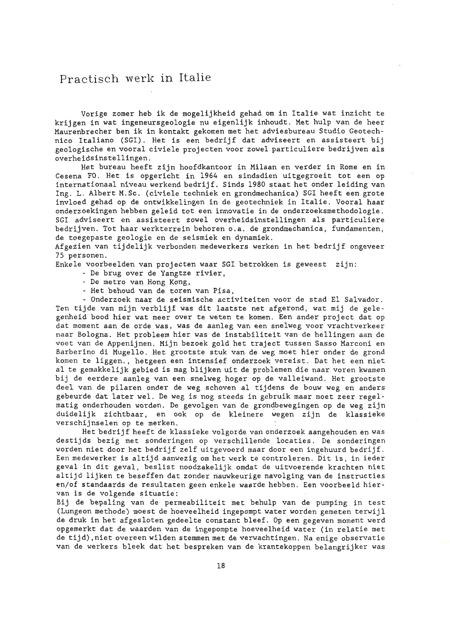## Practisch werk in Italie

Vorige zomer heb ik de mogelijkheid gehad om in !talie wat inzicht te krijgen in wat ingeneursgeologie nu eigenlijk inhoudt. Met hulp van de heer Maurenbrecher ben ik in kontakt gekomen met het adviesbureau Studio Geotechnico Italiano (SGI). Het is een bedrijf dat adviseert en assisteert bij geologische en vooral civiele projecten voor zowel particuliere bedrijven als overheidsinstellingen.

Het bureau heeft zijn hoofdkantoor in Milaan en verder in Rome en in Cesena FO. Het is opgericht in 1964 en sindsdien uitgegroeit tot een op internationaal niveau werkend bedrijf. Sinds 1980 staat het onder leiding van Ing. L. Albert M.Sc . (civiele techniek en grondmechanica) SGI heeft een grote invloed gehad op de ontwikkelingen in de geotechniek in Italie. Vooral haar onderzoekingen hebben geleid tot een innovatie in de onderzoeksmethodologie. SGI adviseert en assisteert zowel overheidsinstellingen als particuliere bedri jven . Tot haar werkterrein behoren o.a . de grondmechanica, fundamenten, de toegepaste geologie en de seismiek en dynamiek.

Afgezien van tijdelijk verbonden medewerkers werken in het bedrijf ongeveer 75 personen .

Enkele voorbeelden van projecten waar SGI betrokken is geweest zijn:

- De brug over de Yangtze rivier,
- De metro van Hong Kong,
- Het behoud van de toren van Pisa,

- Onderzoek naar de seismische activiteiten voor de stad El Salvador . Ten t ijde van mijn verblijf was dit laatste net afgerond, wat mij de gelegenheid bood hier wat meer over te weten te komen. Een ander project dat op dat moment aan de orde was, was de aanleg van een snelweg voor vrachtverkeer naar Bologna. Het probleem hier was de instabiliteit van de hellingen aan de voet van de Appenijnen . Mijn bezoek gold het traject tussen Sasso Marconi en Barberino di Mugello. Het grootste stuk van de weg moet hier onder de grond komen te liggen., hetgeen een intensief onderzoek vereist. Dat het een niet al te gemakkelijk gebied is mag blijken uit de problemen die naar voren kwamen bij de eerdere aanleg van een snelweg hoger op de valleiwand. Het grootste deel van de pilaren onder de weg schoven al tijdens de bouw weg en anders gebeurde dat later wel . De weg is nog steeds in gebruik maar moet zeer regelmatig onderhouden worden. De gevolgen van de grondbewegingen op de weg zijn duidelijk zichtbaar, en ook op de kleinere wegen zijn de klassieke verschijnselen op te merken.

Het bedrijf heeft de klassieke volgorde van onderzoek aangehouden en was destijds bezig met sonderingen op verschillende locaties. De sonderingen worden niet door het bedrijf zelf uitgevoerd maar door een ingehuurd bedrijf . Een medewerker is altijd aanwezig om het werk te controleren. Dit is, in ieder geval in dit geval, beslist noodzakelijk omdat de uitvoerende krachten niet altijd lijken te beseffen dat zonder nauwkeurige navolging van de instructies en/ of standaards de resultaten geen enkele waarde hebben. Een voorbeeld hiervan is de volgende situatie:

Bij de bepaling van de permeabiliteit met behulp van de pumping in test (Lungeon methode) moest de hoeveelheid ingepompt water worden gemeten terwijl de druk in het afgesloten gedeelte constant bleef. Op een gegeven moment werd opgemerkt dat de waarden van de ingepompte hoeveelheid water (in relatie met de tijd) , niet overeen wilden stemmen met de verwachtingen. Na enige observatie van de werkers bleek dat het bespreken van de krantekoppen belangrijker was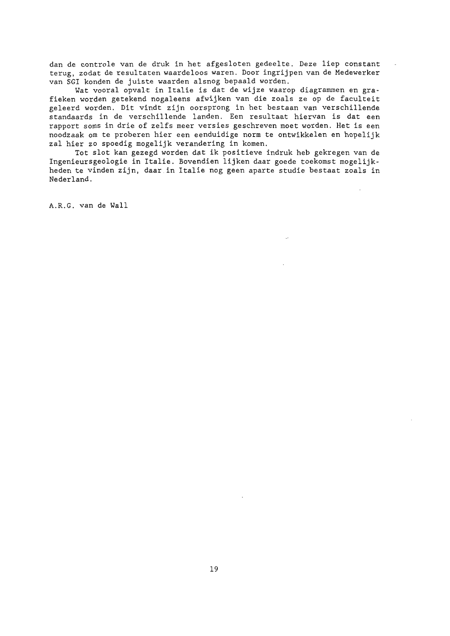dan de controle van de druk in het afgesloten gedeelte. Deze liep constant terug, zodat de resultaten waardeloos waren . Door ingrijpen van de Medewerker van SGI konden de juiste waarden alsnog bepaald worden.

Wat vooral opvalt in Italie is dat de wijze waarop diagrammen en grafieken worden getekend nogaleens afwijken van die zoals ze op de faculteit geleerd worden . Dit vindt zijn oorsprong in het bestaan van verschillende standaards in de verschillende landen. Een resultaat hiervan is dat een rapport soms in drie of zelfs meer versies geschreven moet worden. Het is een noodzaak om te proberen hier een eenduidige norm te ontwikkelen en hopelijk zal hier zo spoedig mogelijk verandering in komen.

Tot slot kan gezegd worden dat ik positieve indruk heb gekregen van de Ingenieursgeologie in Italie. Bovendien lijken daar goede toekomst mogelijkheden te vinden zijn, daar in !talie nog geen aparte studie bestaat zoals in Nederland.

A.R .G. van de Wall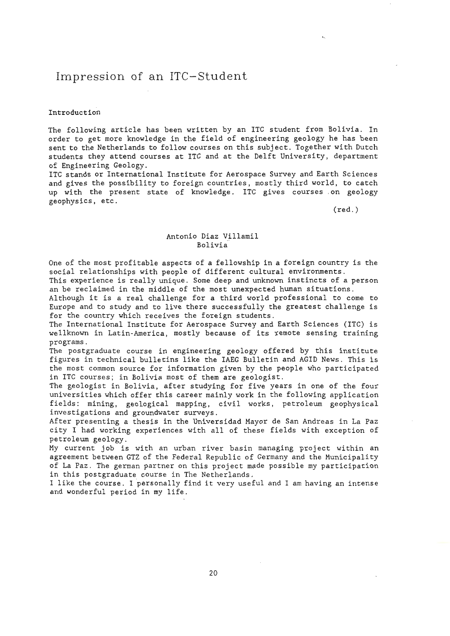## Impression of an ITC- Student

#### Introduction

The following article has been written by an ITC student from Bolivia. In order to get more knowledge in the field of engineering geology he has been sent to the Netherlands to follow courses on this subject. Together with Dutch students they attend courses at ITC and at the Delft University, department of Engineering Geology .

ITC stands or International Institute for Aerospace Survey and Earth Sciences and gives the possibility to foreign countries, mostly third world, to catch up with the present state of knowledge. ITC gives courses . on geology geophysics, etc.

(red.)

## Antonio Diaz Villamil Bolivia

One of the most profitable aspects of a fellowship in a foreign country is the social relationships with people of different cultural environments.

This experience is really unique. Some deep and unknown instincts of a person an be reclaimed in the middle of the most unexpected human situations.

Although it is a real challenge fora third world professional to come to Europe and to study and to live there successfully the greatest challenge is for the country which receives the foreign students.

The International Institute for Aerospace Survey and Earth Sciences (ITC) is wellknown in Latin-America, mostly because of its remote sensing training programs.

The postgraduate course in engineering geology offered by this institute figures in technical bulletins like the IAEG Bulletin and AGID News . This is the most common source for information given by the people who participated in ITC courses; in Bolivia most of them are geologist.

The geologist in Bolivia, after studying for five years in one of the four universities which offer this career mainly work in the following application fields: mining, geological mapping, civil works, petroleum geophysical investigations and groundwater surveys.

After presenting a thesis in the Universidad Mayor de San Andreas in La Paz city I had working experiences with all of these fields with exception of petroleum geology .

My current job is with an urban river basin managing project within an agreement between GTZ of the Federal Republic of Germany and the Municipality of La Paz. The german partner on this project made possible my participation in this postgraduate course in The Netherlands .

I like the course . I personally find it very useful and I am having an intense and wonderful period in my life.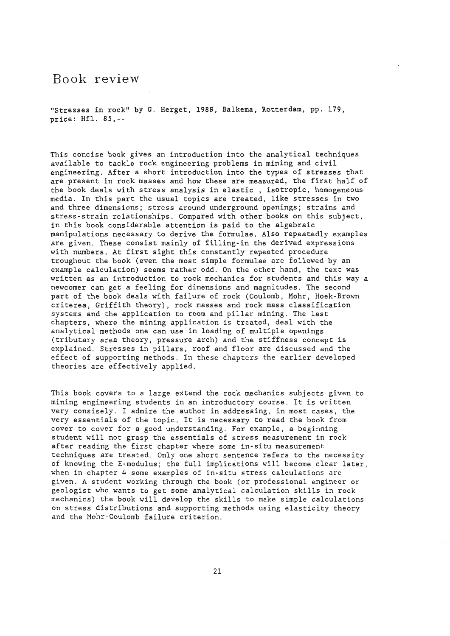## Book review

"Stresses in rock" by G. Herget, 1988, Balkema, Rotterdam, pp. 179, price: Hfl. **85,--**

This concise book gives an introduction into the analytical techniques available to tackle rock engineering problems in mining and civil engineering. After a short introduction into the types of stresses that are present in rock masses and how these are measured, the first half of the book deals with stress analysis in elastic , isotropic, homogeneous media. In this part the usual topics are treated, like stresses in two and three dimensions; stress around underground openings; strains and stress-strain relationships. Compared with other hooks on this subject, in this book considerable attention is paid to the algebraic manipulations necessary to derive the formulae. Also repeatedly examples are given. These consist mainly of filling-in the derived expressions with numbers. At first sight this constantly repeated procedure troughout the book (even the most simple formulae are followed by an example calculation) seems rather odd. On the other hand, the text was written as an introduction to rock mechanics for students and this way a newcomer can get a feeling for dimensions and magnitudes. The second part of the book deals with failure of rock (Coulomb, Mohr, Hoek-Brown criterea, Griffith theory), rock masses and rock mass classification systems and the application to room and pillar mining. The last chapters, where the mining application is treated, deal with the analytical methods one can use in loading of multiple openings (tributary area theory, pressure arch) and the stiffness concept is explained. Stresses in pillars, roof and floor are discussed and the effect of supporting methods. In these chapters the earlier developed theories are effectively applied.

This book covers to a large extend the rock mechanics subjects given to mining engineering students in an introductory course . It is written very consisely. I admire the author in addressing, in most cases, the very essentials of the topic. It is necessary to read the book from cover to cover for a good understanding. For example, a beginning student will not grasp the essentials of stress measurement in rock after reading the first chapter where some in-situ measurement techniques are treated. Only one short sentence refers to the necessity of knowing the E-modulus; the full implications will become clear later, ~hen in chapter 4 some examples of in-situ stress calculations are given. A student working through the book (or professional engineer or geologist who wants to get some analytical calculation skills in rock mechanics) the book will develop the skills to make simple calculations on stress distributions and supporting methods using elasticity theory and the Mohr-Coulomb failure criterion.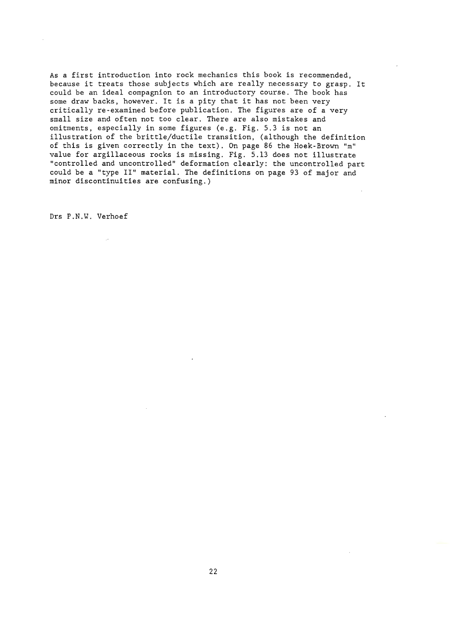As a first introduction into rock mechanics this book is recommended, because it treats those subjects which are really necessary to grasp. It could be an ideal compagnion to an introductory course. The book has some draw backs, however. It is a pity that it has not been very critically re-examined before publication. The figures are of a very small size and often not too clear. There are also mistakes and omitments, especially in some figures (e.g. Fig. 5.3 is not an illustration of the brittle/ductile transition, (although the definition of this is given correctly in the text). On page 86 the Hoek-Brown "m" value for argillaceous rocks is missing. Fig. 5.13 does not illustrate "controlled and uncontrolled" deformation clearly: the uncontrolled part could be a "type II" material. The definitions on page 93 of major and minor discontinuities are confusing.)

Drs P.N.W. Verhoef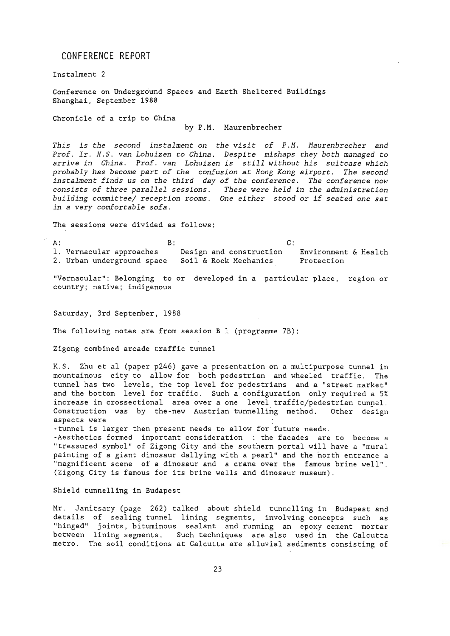## CONFERENCE REPORT

Instalment 2

Conference on Underground Spaces and Earth Sheltered Buildings Shanghai, September 1988

Chronicle of a trip to China

by P.M. Maurenbrecher

*This is the second instalment on the visit of P.M. Maurenbrecher and Prof. Ir. H.S . van Lohuizen to China. Despite mishaps they both managed to arrive in China. Prof. van Lohuizen is still without bis suitcase which probably has become part of the confusion at Hong Kong airport. The second instalment finds us on the third day of the conference. The conference now consists of three parallel sessions. These were held in the administration building committee/ reception rooms . One either stood or if seated one sat in a very comfortable sofa.* 

The sessions were divided as follows:

 $A:$   $B:$ 1. Vernacular approaches 2. Urban underground space Design and construction Soil & Rock Mechanics C: Environment & Health Protection

"Vernacular": Belonging to or developed in a particular place, region or country; native; indigenous

Saturday, 3rd September, 1988

The following notes are from session B 1 (programme 7B):

Zigong combined arcade traffic tunnel

K.S. Zhu et al (paper p246) gave a presentation on a multipurpose tunnel in mountainous city to allow for both pedestrian and wheeled traffic. The tunnel has two levels, the top level for pedestrians and a "street market" and the bottom level for traffic. Such a configuration only required a 5% increase in crossectional area over a one level traffic/pedestrian tunnel. Construction was by the-new Austrian tunnelling method. Other design aspects were

-tunnel is larger then present needs to allow for future needs.

-Aesthetics formed important consideration : the facades are to become a "treasured symbol" of Zigong City and the southern portal will have a "mural painting of a giant dinosaur dallying with a pearl" and the north entrance a "magnificent scene of *a* dinosaur and a crane over the famous brine well". (Zigong City is famous for its brine wells and dinosaur museum).

**Shield tunnelling in Budapest** 

Mr. Janitsary (page 262) talked about shield tunnelling in Budapest and details of sealing tunnel lining segments, involving concepts such *as*  "hinged" joints, bituminous sealant and running an epoxy cement mortar between lining segments. Such techniques are also used in the Calcutta metro. The soil conditions at Calcutta are alluvial sediments consisting of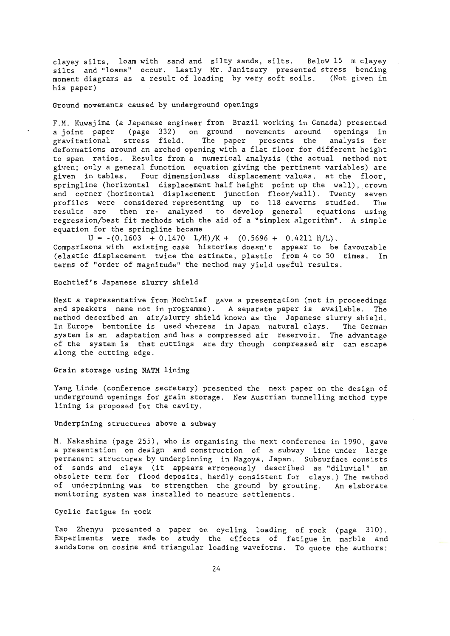clayey silts, loam with sand and silty sands, silts. Below 15 m clayey silts and "loams" occur. Lastly Mr. Janitsary presented stress bending moment diagrams as a result of loading by very soft soils. (Not given in his paper)

## Ground movements caused by underground openings

F.M. Kuwajima (a Japanese engineer from Brazil working in Canada) presented a joint paper (page 332) on ground movements around openings in gravitational stress field. The paper presents the analysis for gravitational stress field. The paper presents the analysis for<br>deformations around an arched opening with a flat floor for different height to span ratios. Results from a numerical analysis (the actual method not given; only a general function equation giving the pertinent variables) are given in tables. Four dimensionless displacement values, at the floor, springline (horizontal displacement half height point up the wall), crown and corner (horizontal displacement junction floor/wall). Twenty seven profiles were considered representing up to 118 caverns studied. The .<br>results are then re- analyzed to develop general equations using regression/best fit methods with the aid of a "simplex algorithm". A simple equation for the springline became

 $U = -(0.1603 + 0.1470 \text{ L/H})/K + (0.5696 + 0.4211 \text{ H/L}).$ Comparisons with existing case histories doesn't appear to be favourable (elastic displacement twice the estimate, plastic from 4 to 50 times. In terms of "order of magnitude" the method may yield useful results.

## Hochtief's Japanese slurry shield

Next a representative from Hochtief gave a presentation (not in proceedings and speakers name not in programme). A separate paper is available. The method described an air/slurry shield known as the Japanese slurry shield. In Europe bentonite is used whereas in Japan natural clays. The German system is an adaptation and has a compressed air reservoir. The advantage of the system is that cuttings are dry though compressed air can escape along the cutting edge.

## Grain storage using **NATM** lining

Yang Linde (conference secretary) presented the next paper on the design of underground openings for grain storage. New Austrian tunnelling method type lining is proposed for the cavity.

#### Underpining structures above a subway

M. Nakashima (page 255), who is organising the next conference in 1990, gave a presentation on design and construction of a subway line under large permanent structures by underpinning in Nagoya, Japan. Subsurface consists of sands and clays (it appears erroneously described as "diluvial'' an obsolete term for flood deposits, hardly consistent for clays.) The method of underpinning was to strengthen the ground by grouting. An elaborate monitoring system was installed to measure settlements .

## Cyclic fatigue in rock

Tao Zhenyu presented a paper on cycling loading of rock (page 310). Experiments were made to study the effects of fatigue in marble and sandstone on cosine and triangular loading waveforms. To quote the authors: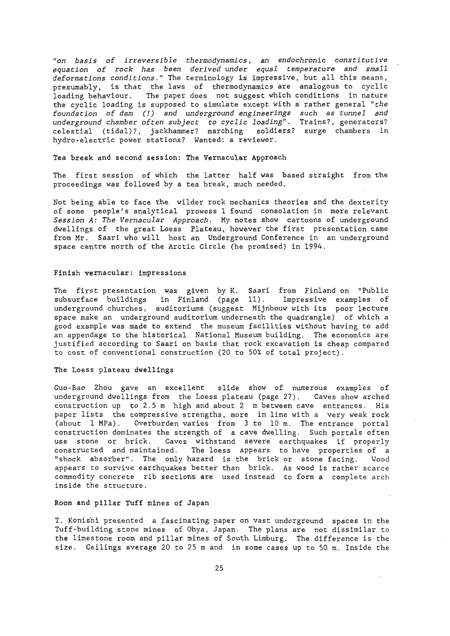*"on basis of irreversible thermodynamics, an endochronic constitutive equation of rock has been derived under equal temperature and small*  deformations conditions." The terminology is impressive, but all this means, presumably, is that the laws of therrnodynamics are analogous to cyclic loading behaviour. The paper does not suggest which conditions in nature the cyclic loading is supposed to simulate except with a rather general *"the foundation of dam* (!) *and underground engineerings such as tunnel and underground chamber often subject to cyclic loading".* Trains?, generators? celestial (tidal)?, jackhammer? marching soldiers? surge chambers in hydro-electric power stations? Wanted: a reviewer .

**Tea break and second session: The Vernacular Approach** 

The first session of which the latter half was based straight from the proceedings was followed by a tea break, much needed.

Not being able to face the wilder rock mechanics theories and the dexterity of some people's analytical prowess I found consolation in more relevant *Session A: The Vernacular Approach .* My notes show cartoons of underground dwellings of the great Loess Plateau, however the first presentation came from Mr. Saari who will host an Underground Conference in an underground space centre north of the Arctic Circle (he promised) in 1994.

#### Finish vernacular: impressions

The first presentation was given by K. Saari from Finland on "Public subsurface buildings in Finland (page 11). Impressive examples of underground churches, auditoriums (suggest Mijnbouw with its poor lecture space make an underground auditorium underneath the quadrangle) of which a good exarnple was made to extend the museum facilities without having to add an appendage to the historical National Museum building. The economics are justified according to Saari on basis that rock excavation is cheap compared to cost of conventional construction (20 to 50¾ of total project) .

## The Loess plateau **dwellings**

Guo-Bao Zhou gave an excellent slide show of numerous examples of underground dwellings from the Loess plateau (page 27). Caves show arched construction up to  $2.5$  m high and about  $2$  m between cave entrances. His paper lists the compressive strengths, more in line with a very weak rock (about 1 MPa). Overburden varies from 3 to 10 m. The entrance portal construction dominates the strength of a cave dwelling. Such portals often<br>use stone or brick. Caves withstand severe earthquakes if properly Caves withstand severe earthquakes if properly constructed and maintained. The loess appears to have properties of a "shock absorber". The only hazard is the brick or stone facing. Wood appears to survive earthquakes better than brick. As wood is rather scarce commodity concrete rib sections are used instead to forma complete arch inside the structure.

## Room **and pillar** Tuff mines of Japan

T. Konishi presented a fascinating paper on vast underground spaces in the Tuff-building stone mines of Ohya, Japan. The plans are not dissimilar to the limestone room and pillar mines of South Limburg. The difference is the size. Ceilings average 20 to 25 m and in some cases up to 50 m. Inside the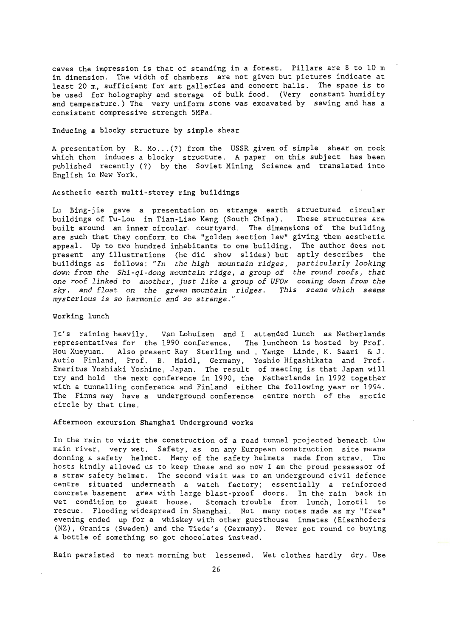caves the impression is that of standing in a forest. Pillars are 8 to 10 m in dimension. The width of chambers are not given but pictures indicate at least 20 m, sufficient for art galleries and concert halls. The space is to be used for holography and storage of bulk food. (Very constant humidity and temperature.) The very uniform stone was excavated by sawing and has a consistent compressive strength SMPa.

## Inducing a blocky structure by simple shear

A presentation by R. Mo...(?) from the USSR given of simple shear on rock which then induces a blocky structure. A paper on this subject has been published recently (?) by the Soviet Mining Science and translated into English in New York.

## Aesthetic earth multi-storey ring buildings

Lu Bing-jie gave a presentation on strange earth structured circular buildings of Tu-Lou in Tian-Liao Keng (South China). These structures are built around an inner circular courtyard. The dimensions of the building are such that they conform to the "golden section law" giving them aestbetic appeal. Up to two hundred inhabitants to one building. The author does not present any illustrations (he did show slides) but aptly describes the buildings as fellows: *"In the high mountain ridges, particularly looking down trom the Shi-qi-dong mountain ridge, a group of the round roots, that one roof linked to snother, just like a group of UFOs coming down trom the sky, and float on the green mountain ridges. This scene which seems mysterious is so harmonie and so strange."* 

#### **Werking** lunch

It's raining heavily. Van Lohuizen and I attended lunch as Netherlands representatives for the 1990 conference. The luncheon is hosted by Prof . Hou Xueyuan. Also present Ray Sterling and, Yange Linde, K. Saari & J. Autio Finland, Prof. B. Maidl, Germany, Yoshio Higashikata and Prof. Emeritus Yoshiaki Yoshime, Japan. The result of meeting is that Japan will try and hold the next conference in 1990, the Netherlands in 1992 together with a tunnelling conference and Finland either the following year or 1994. The Finns may have a underground conference centre north of the arctic circle by that time.

#### Afternoon excursion Shanghai Underground works

In the rain to visit the construction of a raad tunnel projected beneath the main river, very wet. Safety, as on any European construction site means donning a safety helmet. Many of the safety helmets made from straw. The hosts kindly allowed us to keep these and so now I am the proud possessor of a straw safety helmet. The second visit was to an underground civil defence centre situated underneath a watch factory; essentially a reinforced concrete basement area with large blast-proof doors. In the rain back in wet condition to guest house. Stomach trouble from lunch, lomotil to rescue. Flooding widespread in Shanghai. Not many notes made as my "free" evening ended up for a whiskey with other guesthouse inmates (Eisenhofers (NZ), Granits (Sweden) and the Tiede's (Germany). Never got round to buying a bottle of something so got chocolates instead .

Rain persisted to next morning but lessened. Wet clothes hardly dry. Use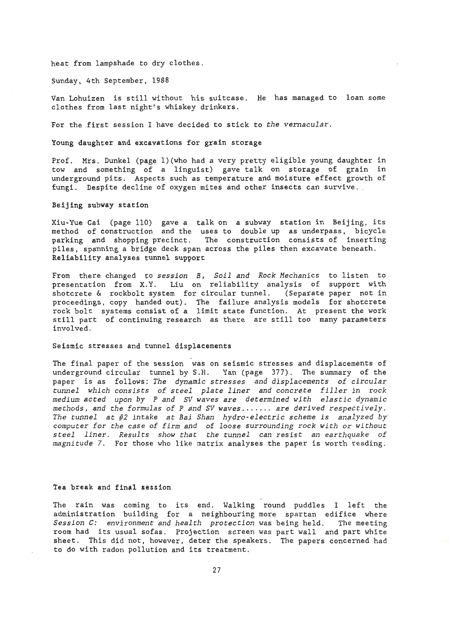heat from lampshade to dry clothes.

Sunday, 4th September, 1988

Van Lohuizen is still without his suitcase. He has managed to loan some clothes from last night's whiskey drinkers.

For the first session I have decided to stick to *the vernacular.* 

**Young daughter and excavations for grain storage** 

Prof. Mrs. Dunkel (page l)(who had a very pretty eligible young daughter in tow and something of a linguïst) gave talk on storage of grain in underground pits. Aspects such as temperature and moisture effect growth of fungi. Despite decline of oxygen mites and ether insects can survive .

**Beijing subway station** 

Xiu-Yue Cai (page 110) gave a talk on a subway station in Beijing, its method of construction and the uses to double up as underpass, bicycle parking and shopping precinct. The construction consists of inserting piles, spanning a bridge deck span across the piles then excavate beneath. Reliability **analyses** tunnel support

From there changed to *session B, Soil and Rock Hechanics* to listen to presentation from X.Y. Liu on reliability analysis of support with shotcrete & rockbolt system for circular tunnel. (Separate paper not in proceedings, copy handed out). The failure analysis models for shotcrete rock bolt systems consist of a limit state function. At present the work still part of continuing research as there are still too many parameters involved.

## Seismic stresses and tunnel displacements

The final paper of the session was on seismic stresses and displacements of underground circular tunnel by S.H. Yan (page 377). The summary of the paper is as fellows: *The dynamic stresses and displacements of circular tunnel which consists of steel plate liner and concrete filler in rock medium acted upon by Pand SV waves are determined with elastic dynamic methods, and the formulas of Pand SV waves ....... are derived respectively. The tunnel at #2 intake at Bai Shan hydro-electric scheme is analyzed by· computer for the case of firm and of loose surrounding rock with or without steel liner. Results show that the tunnel can resist an earthquake of magnitude* 7. For those who like matrix analyses the paper is worth reading.

#### **Tea break and final session**

The rain was coming to its end. Walking round puddles I left the administration building for a neighbouring more spartan edifice where *Session C: environment and health protection* was being held. The meeting room had its usual sofas. Projection screen was part wall and part white sheet. This did not, however, deter the speakers. The papers concerned had to do with radon pollution and its treatment.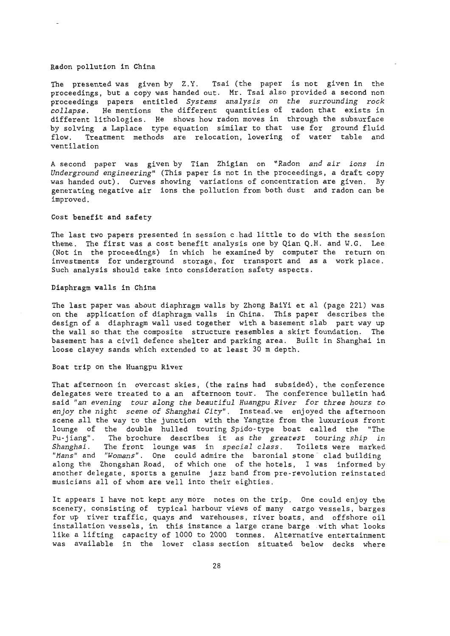#### Radon pollution in China

The presented was given by Z.Y. Tsai (the paper is not given in the proceedings, but a copy was handed out. Mr. Tsai also provided a second non proceedings papers entitled *Systems analysis on the surrounding rock collapse.* He mentions the different quantities of radon that exists in different lithologies. He shows how radon moves in through the subsurface by solving a Laplace type equation similar to that use for ground fluid flow. Treatment methods are relocation, lowering of water table and ventilation

A second paper was given by Tian Zhigian on *"Radon and air ions in Underground engineering"* (This paper is not in the proceedings, a draft copy was handed out). Curves showing variations of concentration are given. By generating negative air ions the pollution from both dust and radon can be improved.

#### Cost benefit and safety

The last two papers presented in session c had little to do with the session theme. The first was a cost benefit analysis one by Qian Q.H. and W.G. Lee (Not in the proceedings) in which he examined by computer the return on investments for underground storage, for transport and as a work place. Such analysis should take into consideration safety aspects.

## Diaphragm **walls** in China

The last paper was about diaphragm walls by Zhong BaiYi et al (page 221) was on the application of diaphragm walls in China. This paper describes the design of a diaphragm wall used together with a basement slab part way up the wall so that the composite structure resembles a skirt foundation. The basement has a civil defence shelter and parking area. Built in Shanghai in loose clayey sands which extended to at least 30 m depth.

## Boat trip on the Huangpu River

That afternoon in overcast skies, (the rains had subsided), the conference delegates were treated to a an afternoon tour. The conference bulletin had said *"an evening tour along the beautiful Huangpu River for three hours to enjoy the night scene* of *Shanghai City".* Instead.we enjoyed the afternoon scene all the way to the junction with the Yangtze from the luxurious front lounge of the double hulled touring Spido-type boat called the "The Pu-jiang" . The brochure describes it as *the greatest touring ship in Shanghai .* The front lounge was in *special class.* Toilets were marked "Mans" and "Womans". One could admire the baronial stone clad building along the Zhongshan Road, of which one of the hotels, I was informed by another delegate, sports a genuine jazz band from pre-revolution reinstated musicians all of whom are well into their eighties.

lt appears I have not kept any more notes on the trip. One could enjoy the scenery, consisting of typical harbour views of many cargo vessels, barges for up river traffic, quays and warehouses, river boats, and offshore oil installation vessels, in this instance a large crane barge with what looks like a lifting capacity of 1000 to 2000 tonnes. Alternative entertainment was available in the lower class section situated below decks where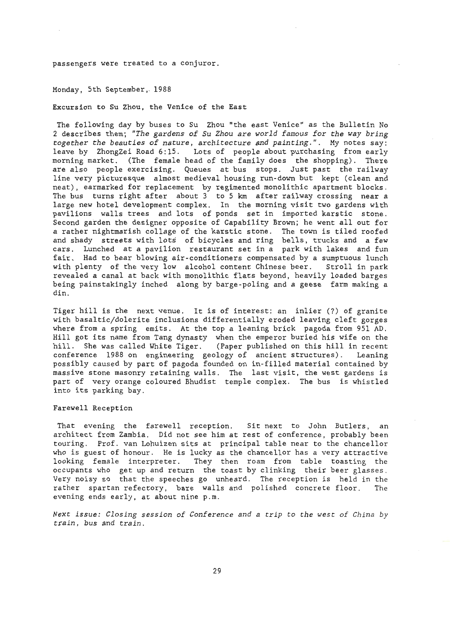passengers were treated to a conjuror.

Monday, 5th September, 1988

Excursion to Su Zhou, the Venice of the East

The following day by buses to Su Zhou "the east Venice" as the Bulletin No 2 describes them; *"The gardens of Su Zhou are world famous for the way bring together the beauties of nature, architecture and painting . ".* My notes say: leave by ZhongZei Road 6:15. Lots of people about purchasing from early morning market. (The female head of the family does the shopping). There are also people exercising. Queues at bus stops. Just past the railway line very picturesque almost medieval housing run-down but kept (clean and neat), earmarked for replacement by regimented monolithic apartment blocks. The bus turns right after about 3 to 5 km after railway crossing near a large new hotel development complex. In the morning visit two gardens with pavilions walls trees and lots of ponds set in imported karstic stone. Second garden the designer opposite of Capability Brown; he went all out for a rather nightmarish collage of the karstic stone. The town is tiled roofed and shady streets with lots of bicycles and ring bells, trucks and a few cars. Lunched at a pavilion restaurant set in a park with lakes and fun fair. Had to bear blowing air- conditioners compensated by a sumptuous lunch with plenty of the very low alcohol content Chinese beer. Stroll in park revealed a canal at back with monolithic flats beyond, heavily loaded barges being painstakingly inched along by barge-poling and a geese farm making a din.

Tiger hill is the next venue. It is of interest: an inlier (?) of granite with basaltic/dolerite inclusions differentially eroded leaving cleft gorges where from a spring emits. At the top a leaning brick pagoda from 951 AD. Hill got its name from Tang dynasty when the emperor buried his wife on the hill. She was called White Tiger. (Paper published on this hill in recent<br>conference 1988 on engineering geology of ancient structures). Leaning conference 1988 on engineering geology of ancient structures). possibly caused by part of pagoda founded on in-filled material contained by massive stone masonry retaining walls. The last visit, the west gardens is part of very orange coloured Bhudist temple complex. The bus is whistled into its parking bay.

#### **Farewell** Reception

That evening the farewell reception. Sit next to John Butlers, an architect from Zambia. Did not see him at rest of conference, probably been touring. Prof. van Lohuizen sits at principal table near to the chancellor who is guest of honour. He is lucky as the chancellor has a very attractive looking female interpreter. They then roam from table toasting the occupants who get up and return the toast by clinking their beer glasses . Very noisy so that the speeches go unheard. The reception is held in the rather spartan refectory, bare walls and polished concrete floor. The evening ends early, at about nine p.m.

*Next issue: Closing session of Conference and a trip to the west of China by train, bus and train.*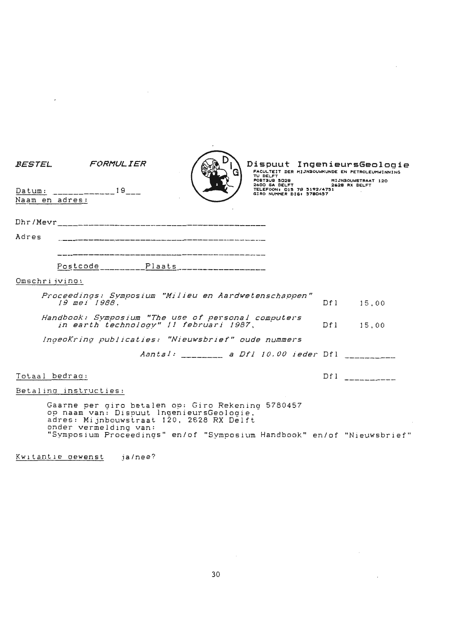| <i>BESTEL</i> | FORMULIER                                                                                                                                                          |                                           | TU DELFT<br>POSTBUB 5028<br>2600 GA DELFT              | Dispuut IngenieursGeologie<br>FACULTEIT DER MIJNBOUWKUNDE EN PETROLEUMWINNING<br>MIJNBOUWSTRAAT 120<br>2628 RX DELFT |
|---------------|--------------------------------------------------------------------------------------------------------------------------------------------------------------------|-------------------------------------------|--------------------------------------------------------|----------------------------------------------------------------------------------------------------------------------|
|               | Datum: ______________19___<br>Naam en adres:                                                                                                                       |                                           | TELEFOON: 015 78 5192/4751<br>GIRO NUMMER DIG: 5780457 |                                                                                                                      |
|               |                                                                                                                                                                    |                                           |                                                        |                                                                                                                      |
|               |                                                                                                                                                                    |                                           |                                                        |                                                                                                                      |
| Adres         |                                                                                                                                                                    |                                           |                                                        |                                                                                                                      |
|               |                                                                                                                                                                    |                                           |                                                        |                                                                                                                      |
|               |                                                                                                                                                                    |                                           |                                                        |                                                                                                                      |
|               | Omschrijving:                                                                                                                                                      |                                           |                                                        |                                                                                                                      |
|               | Proceedinas: Symposium "Milieu en Aardwetenschappen"                                                                                                               |                                           |                                                        |                                                                                                                      |
|               | 19 mei 1988.                                                                                                                                                       |                                           |                                                        | Df1 15.00                                                                                                            |
|               | Handbook: Symposium "The use of personal computers<br>in earth technology" 11 februari 1987,                                                                       |                                           |                                                        | Df1 15,00                                                                                                            |
|               | IngeoKring publicaties: "Nieuwsbrief" oude nummers                                                                                                                 |                                           |                                                        |                                                                                                                      |
|               |                                                                                                                                                                    | Aantal: ___________ a Dfl 10.00 ieder Dfl |                                                        |                                                                                                                      |
|               | Totaal bedrag:                                                                                                                                                     |                                           |                                                        | Df1                                                                                                                  |
|               | Betaling instructies:                                                                                                                                              |                                           |                                                        |                                                                                                                      |
|               | Gaarne per giro betalen op: Giro Rekening 5780457<br>op naam van: Dispuut IngenieursGeologie.<br>adres: Mijnbouwstraat 120, 2628 RX Delft<br>onder vermelding van: |                                           |                                                        |                                                                                                                      |
|               | "Symposium Proceedings" en/of "Symposium Handbook" en/of "Nieuwsbrief"                                                                                             |                                           |                                                        |                                                                                                                      |

 $\sim$   $\sim$ 

 $\mathcal{L}^{\text{max}}_{\text{max}}$  and  $\mathcal{L}^{\text{max}}_{\text{max}}$ 

 $\sim 10^{-1}$ 

 $\sim$   $\sim$ 

Kw1tant1e aewenst ja/nee?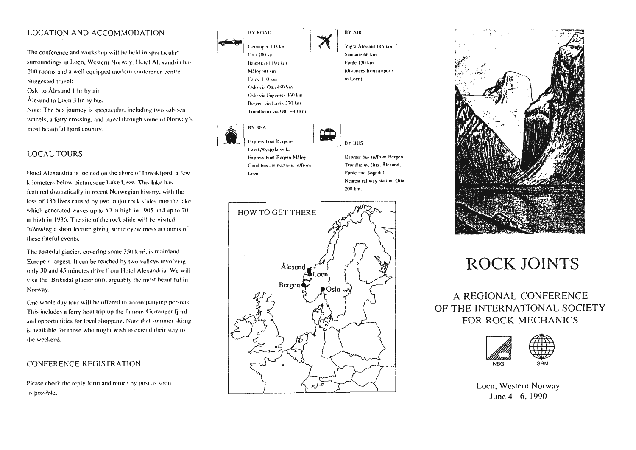## LOCATION AND ACCOMMODATION

The conference and workshop will be held in spectacular surroundings in Loen, Western Norway. Hotel Alexandria has 200 rooms and a well equipped modern conference centre. Suggested travel:

Oslo to Ålesund 1 hr by air

Ålesund to Loen 3 hr by bus

Note: The bus journey is spectacular, including two sub-sea tunnels, a ferry crossing, and travel through some of Norway's most beautiful fjord country.

## **LOCAL TOURS**

Hotel Alexandria is located on the shore of Innviktjord, a few kilometers below picturesque Lake Loen. This lake has featured dramatically in recent Norwegian history, with the loss of 135 lives caused by two major rock slides into the lake, which generated waves up to 50 m high in 1905 and up to 70 m high in 1936. The site of the rock slide will be visited following a short lecture giving some eyewitness accounts of these fateful events.

The Jostedal glacier, covering some 350 km', is mainland Europe's largest. It can be reached by two valleys involving only 30 and 45 minutes drive from Hotel Alexandria. We will visit the Briksdal glacier arm, arguably the most beautiful in Norway.

One whole day tour will be offered to accompanying persons. This includes a ferry boat trip up the famous Geiranger fjordand opportunities for local shopping. Note that summer skiing is available for those who might wish to extend their stay to the weekend.

## CONFERENCE REGISTRATION

Please check the reply form and return by post as soon. as possible.

**BY ROAD** Geiranger 103 km Otta 200 km Balestrand 190 km Målov 90 km Forde 110 km Oslo via Otta 490 km Oslo via Fagernes 460 km Bergen via Lavik 270 km **RY AIR** Vigra Ålesund 145 km

Sandane 66 km Førde 130 km (distances from airports to Loen).



Loen

Trondheim via Otta 440 km

Good bus connections to/from

**BY BUS** 

Express bus to/from Bergen Trondheim, Otta, Ålesund, Førde and Sogndal. Nearest railway station: Otta 200 km.





## **ROCK JOINTS**

A REGIONAL CONFERENCE OF THE INTERNATIONAL SOCIETY FOR ROCK MECHANICS



Loen, Western Norway June 4 - 6, 1990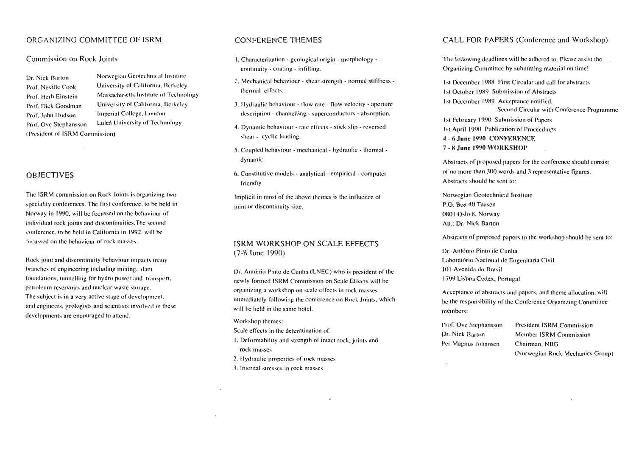## ORGANIZING COMMITTEE OF ISRM

## Commission on Rock Joints

Dr. Nick Barton Prof. Neville Cook Prof. Herb Einstein Prof. Dick Goodman Prof. John Hudson Prof. Ove Stephansson (President of ISRM Commission)

Norwegian Geotechnical Institute University of California, Berkeley Massachusetts Institute of Technology University of California. Berkeley. Imperial College, London Luleå University of Technology

## **OBJECTIVES**

The ISRM commission on Rock Joints is organizing two speciality conferences. The first conference, to be held in Norway in 1990, will be focussed on the behaviour of individual rock joints and discontinuities. The second conference, to be held in California in 1992, will be focussed on the behaviour of rock masses.

Rock joint and discontinuity behaviour impacts many branches of engineering including mining, damfoundations, tunnelling for hydro power and transport. petroleum reservoirs and nuclear waste storage. The subject is in a very active stage of development, and engineers, geologists and scientists involved in these developments are encouraged to attend.

## CONFERENCE THEMES

- $\mathbf{L}$ . Characterization geological origin morphology continuity - coating - infilling.
- 2. Mechanical behaviour shear strength normal stiffness thermal effects
- 3. Hydraulic behaviour flow rate flow velocity aperture description - channelling - superconductors - absorption
- 4. Dynamic behaviour rate effects stick slin reversed shear - evelic loading
- 5. Coupled behaviour mechanical hydraulic thermal dynamic
- 6. Constitutive models analytical empirical computer friendly

Implicit in most of the above themes is the influence of joint or discontinuity size

## ISRM WORKSHOP ON SCALE EFFECTS  $(7-8$  June  $1990$ )

Dr. António Pinto de Cunha (LNEC) who is president of the newly formed ISRM Commission on Scale Effects will be organizing a workshop on scale effects in rock masses immediately following the conference on Rock Joints, which will be held in the same hotel

Workshop themes:

Scale effects in the determination of:

L. Deformability and strength of intact rock, joints and rock masses

 $\mathbf{r}$ 

- 2. Hydraulic properties of rock masses.
- 3. Internal stresses in rock masses

## CALL FOR PAPERS (Conference and Workshop)

The following deadlines will be adhered to Please assist the Organizing Committee by cubmitting material on timel

Let December 1000, Elect Claudian and sall for chatroide Let Outsbee 1000. Cubasianism of Abatronic

Let December 1080 Acceptance notified

Savond Circular with Conference Dragmond

Let Eshruary 1000. Cuboviecion of Dunger Let April 1000 Publication of Proposition  $1 - 6$  June 1000 CONEEDENCE  $\overline{7}$  &  $\overline{1}$ <sub>ung</sub>  $\overline{1}$ 000 W(ADECHAD

Abstracts of proposed papers for the conference should consist of no more than 300 words and 3 representative figures Abetracte chould be cont for

Norwegian Geotechnical Institute  $P \cap P_{\text{out}}$  40 Taggar  $0.901$   $O_{\text{obs}}$  9  $M$  $\alpha$ mm  $At + D_5$  Night Barton

Abstracts of proposed papers to the workshop should be sent to:

Dr. António Pinto de Cueba Laboratório Nacional de Engenhario Civil **IBL Avenue de Bracil** 1700 Lighon Codex, Portugal

Accontance of abstracts and napers and theme allocation will be the responsibility of the Conference Organizing Committee mombore

Prof. Our Stanhancean Dr. Nick Barton Per Magnue Ishaneen

**Dravidant ISDM Commission**  $M$  unless  $\text{IPDA}$   $\text{C}$  and  $\text{C}$ Chairman NBC (Norwonian Rask Mechanics Group)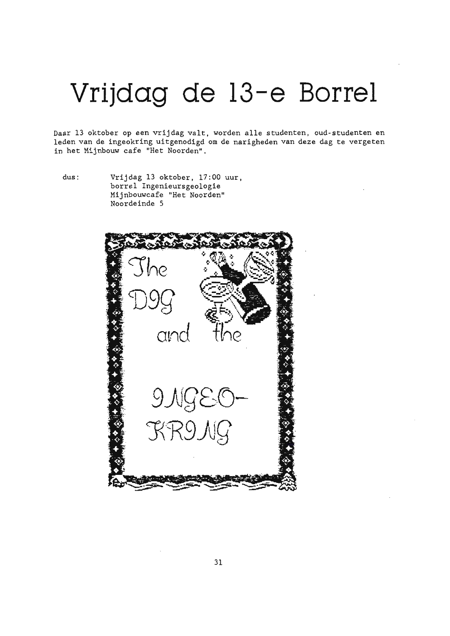## Vrijdag de 13-e Borrel

Daar 13 oktober op een vrijdag valt, worden alle studenten, oud-studenten en leden van de ingeokring uitgenodigd om de narigheden van deze dag te vergeten in het Mijnbouw cafe "Het Noorden".

 $dus$ :

Vrijdag 13 oktober, 17:00 uur, borrel Ingenieursgeologie Mijnbouwcafe "Het Noorden" Noordeinde 5

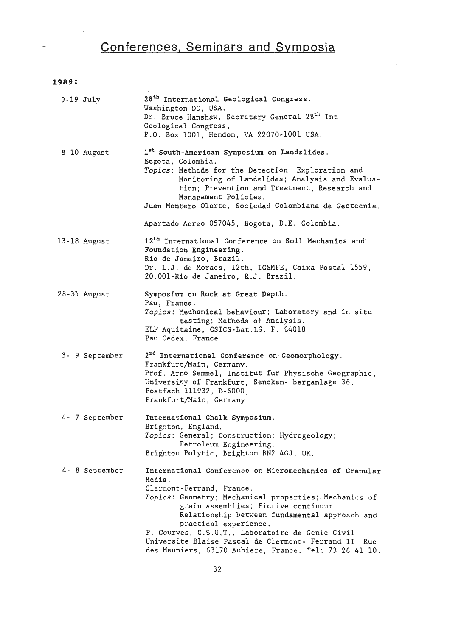## **Conferences, Seminars and Symposia**

 $\overline{a}$ 

## **1989:**

| $9-19$ July    | 28 <sup>th</sup> International Geological Congress.<br>Washington DC, USA.<br>Dr. Bruce Hanshaw, Secretary General 28 <sup>th</sup> Int.<br>Geological Congress,<br>P.O. Box 1001, Hendon, VA 22070-1001 USA.                                                                                                                                                                                                                                    |
|----------------|--------------------------------------------------------------------------------------------------------------------------------------------------------------------------------------------------------------------------------------------------------------------------------------------------------------------------------------------------------------------------------------------------------------------------------------------------|
| 8-10 August    | 1st South-American Symposium on Landslides.<br>Bogota, Colombia.<br>Topics: Methods for the Detection, Exploration and<br>Monitoring of Landslides; Analysis and Evalua-<br>tion; Prevention and Treatment; Research and<br>Management Policies.<br>Juan Montero Olarte, Sociedad Colombiana de Geotecnia,                                                                                                                                       |
|                | Apartado Aereo 057045, Bogota, D.E. Colombia.                                                                                                                                                                                                                                                                                                                                                                                                    |
| 13-18 August   | 12 <sup>th</sup> International Conference on Soil Mechanics and<br>Foundation Engineering.<br>Rio de Janeiro, Brazil.<br>Dr. L.J. de Moraes, 12th. ICSMFE, Caixa Postal 1559,<br>20.001-Rio de Janeiro, R.J. Brazil.                                                                                                                                                                                                                             |
| 28-31 August   | Symposium on Rock at Great Depth.<br>Pau, France.<br>Topics: Mechanical behaviour; Laboratory and in-situ<br>testing; Methods of Analysis.<br>ELF Aquitaine, CSTCS-Bat.LS, F. 64018<br>Pau Cedex, France                                                                                                                                                                                                                                         |
| 3- 9 September | 2 <sup>nd</sup> International Conference on Geomorphology.<br>Frankfurt/Main, Germany.<br>Prof. Arno Semmel, Institut fur Physische Geographie,<br>University of Frankfurt, Sencken- berganlage 36,<br>Postfach 111932, D-6000,<br>Frankfurt/Main, Germany.                                                                                                                                                                                      |
| 4- 7 September | International Chalk Symposium.<br>Brighton, England.<br>Topics: General; Construction; Hydrogeology;<br>Petroleum Engineering.<br>Brighton Polytic, Brighton BN2 4GJ, UK.                                                                                                                                                                                                                                                                        |
| 4- 8 September | International Conference on Micromechanics of Granular<br>Media.<br>Clermont-Ferrand, France.<br>Topics: Geometry; Mechanical properties; Mechanics of<br>grain assemblies; Fictive continuum,<br>Relationship between fundamental approach and<br>practical experience.<br>P. Gourves, C.S.U.T., Laboratoire de Genie Civil,<br>Universite Blaise Pascal de Clermont- Ferrand II, Rue<br>des Meuniers, 63170 Aubiere, France. Tel: 73 26 41 10. |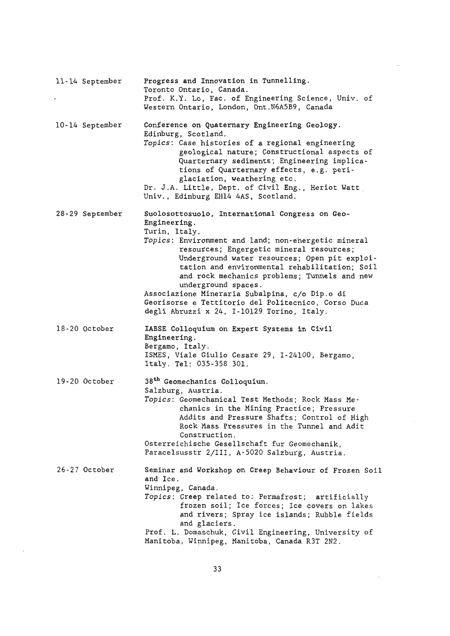| 11-14 September | Progress and Innovation in Tunnelling.<br>Toronto Ontario, Canada.<br>Prof. K.Y. Lo, Fac. of Engineering Science, Univ. of<br>Western Ontario, London, Ont.N6A5B9, Canada                                                                                                                                                                                                                                                                                                                                           |
|-----------------|---------------------------------------------------------------------------------------------------------------------------------------------------------------------------------------------------------------------------------------------------------------------------------------------------------------------------------------------------------------------------------------------------------------------------------------------------------------------------------------------------------------------|
| 10-14 September | Conference on Quaternary Engineering Geology.<br>Edinburg, Scotland.<br>Topics: Case histories of a regional engineering<br>geological nature; Constructional aspects of<br>Quarternary sediments; Engineering implica-<br>tions of Quarternary effects, e.g. peri-<br>glaciation, weathering etc.<br>Dr. J.A. Little, Dept. of Civil Eng., Heriot Watt<br>Univ., Edinburg EH14 4AS, Scotland.                                                                                                                      |
| 28-29 September | Suolosottosuolo, International Congress on Geo-<br>Engineering.<br>Turin, Italy.<br>Topics: Environment and land; non-energetic mineral<br>resources; Engergetic mineral resources;<br>Underground water resources; Open pit exploi-<br>tation and environmental rehabilitation; Soil<br>and rock mechanics problems; Tunnels and new<br>underground spaces.<br>Associazione Mineraria Subalpina, c/o Dip.o di<br>Georisorse e Tettitorio del Politecnico, Corso Duca<br>degli Abruzzi x 24, I-10129 Torino, Italy. |
| 18-20 October   | IABSE Colloquium on Expert Systems in Civil<br>Engineering.<br>Bergamo, Italy.<br>ISMES, Viale Giulio Cesare 29, I-24100, Bergamo,<br>Italy. Tel: 035-358 301.                                                                                                                                                                                                                                                                                                                                                      |
| 19-20 October   | 38 <sup>th</sup> Geomechanics Colloquium.<br>Salzburg, Austria.<br>Topics: Geomechanical Test Methods; Rock Mass Me-<br>chanics in the Mining Practice; Pressure<br>Addits and Pressure Shafts; Control of High<br>Rock Mass Pressures in the Tunnel and Adit<br>Construction.<br>Osterreichische Gesellschaft fur Geomechanik,<br>Paracelsusstr 2/III, A-5020 Salzburg, Austria.                                                                                                                                   |
| 26-27 October   | Seminar and Workshop on Creep Behaviour of Frozen Soil<br>and Ice.<br>Winnipeg, Canada.<br>Topics: Creep related to: Permafrost; artificially<br>frozen soil; Ice forces; Ice covers on lakes<br>and rivers; Spray ice islands; Rubble fields<br>and glaciers.<br>Prof. L. Domaschuk, Civil Engineering, University of<br>Manitoba, Winnipeg, Manitoba, Canada R3T 2N2.                                                                                                                                             |

 $\overline{\phantom{a}}$ 

 $\bar{z}$ 

 $\overline{\phantom{a}}$ 

 $\sim$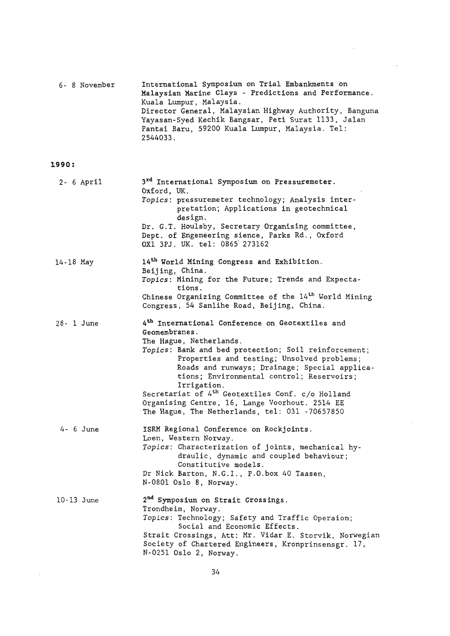|              | 6- 8 November | International Symposium on Trial Embankments on<br>Malaysian Marine Clays - Predictions and Performance.<br>Kuala Lumpur, Malaysia.<br>Director General, Malaysian Highway Authority, Banguna<br>Yayasan-Syed Kechik Bangsar, Peti Surat 1133, Jalan<br>Pantai Baru, 59200 Kuala Lumpur, Malaysia. Tel:<br>2544033.                                                                                                                                                                            |
|--------------|---------------|------------------------------------------------------------------------------------------------------------------------------------------------------------------------------------------------------------------------------------------------------------------------------------------------------------------------------------------------------------------------------------------------------------------------------------------------------------------------------------------------|
| 1990:        |               |                                                                                                                                                                                                                                                                                                                                                                                                                                                                                                |
|              | $2 - 6$ April | 3 <sup>rd</sup> International Symposium on Pressuremeter.<br>Oxford, UK.<br>Topics: pressuremeter technology; Analysis inter-<br>pretation; Applications in geotechnical<br>design.<br>Dr. G.T. Houlsby, Secretary Organising committee,<br>Dept. of Engeneering sience, Parks Rd., Oxford<br>OX1 3PJ. UK. tel: 0865 273162                                                                                                                                                                    |
| 14-18 May    |               | 14 <sup>th</sup> World Mining Congress and Exhibition.<br>Beijing, China.<br>Topics: Mining for the Future; Trends and Expecta-<br>tions.<br>Chinese Organizing Committee of the 14 <sup>th</sup> World Mining<br>Congress, 54 Sanlihe Road, Beijing, China.                                                                                                                                                                                                                                   |
| 28- 1 June   |               | 4 <sup>th</sup> International Conference on Geotextiles and<br>Geomembranes.<br>The Hague, Netherlands.<br>Topics: Bank and bed protection; Soil reinforcement;<br>Properties and testing; Unsolved problems;<br>Roads and runways; Drainage; Special applica-<br>tions; Environmental control; Reservoirs;<br>Irrigation.<br>Secretariat of 4 <sup>th</sup> Geotextiles Conf. c/o Holland<br>Organising Centre, 16, Lange Voorhout. 2514 EE<br>The Hague, The Netherlands, tel: 031 -70657850 |
|              | 4- 6 June     | ISRM Regional Conference on Rockjoints.<br>Loen, Western Norway.<br>Topics: Characterization of joints, mechanical hy-<br>draulic, dynamic and coupled behaviour;<br>Constitutive models.<br>Dr Nick Barton, N.G.I., P.O.box 40 Taasen,<br>N-0801 Oslo 8, Norway.                                                                                                                                                                                                                              |
| $10-13$ June |               | 2 <sup>nd</sup> Symposium on Strait Crossings.<br>Trondheim, Norway.<br>Topics: Technology; Safety and Traffic Operaion;<br>Social and Economic Effects.<br>Strait Crossings, Att: Mr. Vidar E. Storvik, Norwegian<br>Society of Chartered Engineers, Kronprinsensgr. 17,<br>N-0251 Oslo 2, Norway.                                                                                                                                                                                            |

l,

 $\bar{z}$ 

 $\bar{\beta}$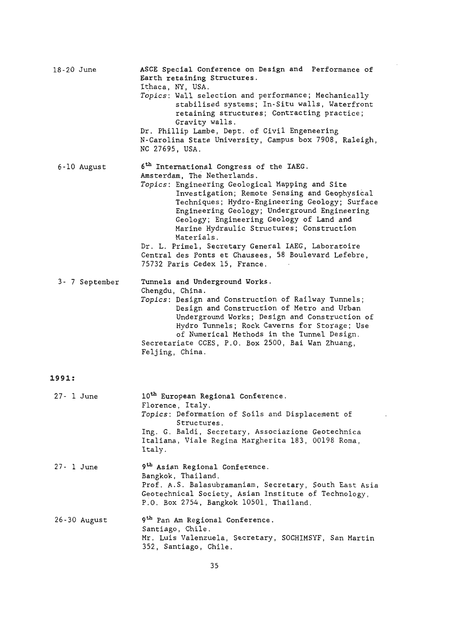| 18-20 June    |                  | ASCE Special Conference on Design and Performance of<br>Earth retaining Structures.<br>Ithaca, NY, USA.<br>Topics: Wall selection and performance; Mechanically<br>stabilised systems; In-Situ walls, Waterfront<br>retaining structures; Contracting practice;<br>Gravity walls.<br>Dr. Phillip Lambe, Dept. of Civil Engeneering<br>N-Carolina State University, Campus box 7908, Raleigh,<br>NC 27695, USA.                                                                                                                                 |
|---------------|------------------|------------------------------------------------------------------------------------------------------------------------------------------------------------------------------------------------------------------------------------------------------------------------------------------------------------------------------------------------------------------------------------------------------------------------------------------------------------------------------------------------------------------------------------------------|
|               | 6-10 August      | 6 <sup>th</sup> International Congress of the IAEG.<br>Amsterdam, The Netherlands.<br>Topics: Engineering Geological Mapping and Site<br>Investigation; Remote Sensing and Geophysical<br>Techniques; Hydro-Engineering Geology; Surface<br>Engineering Geology; Underground Engineering<br>Geology; Engineering Geology of Land and<br>Marine Hydraulic Structures; Construction<br>Materials.<br>Dr. L. Primel, Secretary General IAEG, Laboratoire<br>Central des Ponts et Chausees, 58 Boulevard Lefebre,<br>75732 Paris Cedex 15, France. |
|               | 3- 7 September   | Tunnels and Underground Works.<br>Chengdu, China.<br>Topics: Design and Construction of Railway Tunnels;<br>Design and Construction of Metro and Urban<br>Underground Works; Design and Construction of<br>Hydro Tunnels; Rock Caverns for Storage; Use<br>of Numerical Methods in the Tunnel Design.<br>Secretariate CCES, P.O. Box 2500, Bai Wan Zhuang,<br>Feljing, China.                                                                                                                                                                  |
| 1991:         |                  |                                                                                                                                                                                                                                                                                                                                                                                                                                                                                                                                                |
| 27- 1 June    |                  | 10 <sup>th</sup> European Regional Conference.<br>Florence, Italy.<br>Topics: Deformation of Soils and Displacement of<br>Structures.<br>Ing. G. Baldi, Secretary, Associazione Geotechnica<br>Italiana, Viale Regina Margherita 183, 00198 Roma,<br>Italy.                                                                                                                                                                                                                                                                                    |
| $27 - 1$ June |                  | 9 <sup>th</sup> Asian Regional Conference.<br>Bangkok, Thailand.<br>Prof. A.S. Balasubramaniam, Secretary, South East Asia<br>Geotechnical Society, Asian Institute of Technology,<br>P.O. Box 2754, Bangkok 10501, Thailand.                                                                                                                                                                                                                                                                                                                  |
|               | $26 - 30$ August | 9 <sup>th</sup> Pan Am Regional Conference.<br>Santiago, Chile.<br>Mr. Luis Valenzuela, Secretary, SOCHIMSYF, San Martin<br>352, Santiago, Chile.                                                                                                                                                                                                                                                                                                                                                                                              |

 $\sim 10^{-10}$